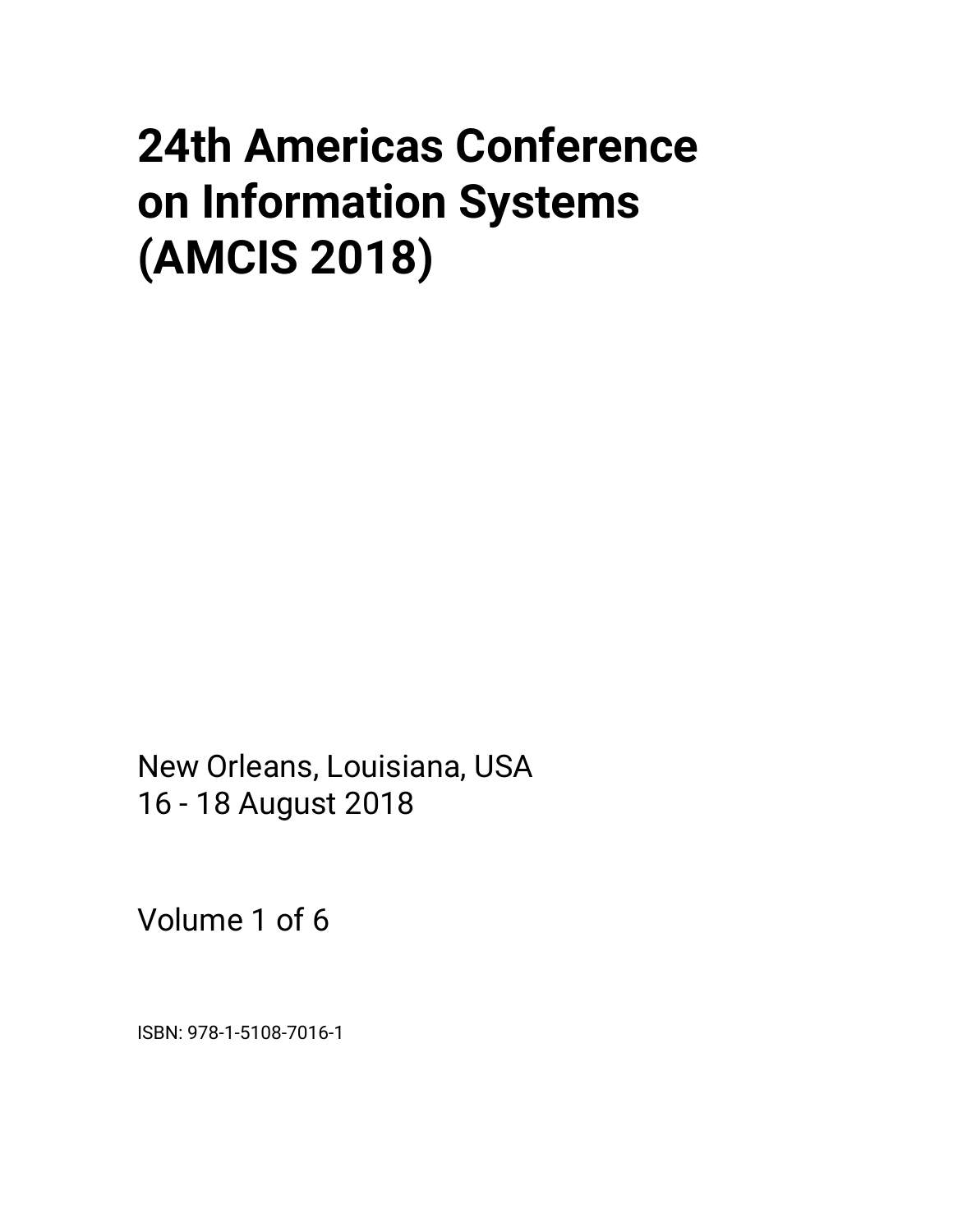# **24th Americas Conference on Information Systems (AMCIS 2018)**

New Orleans, Louisiana, USA 16 - 18 August 2018

Volume 1 of 6

ISBN: 978-1-5108-7016-1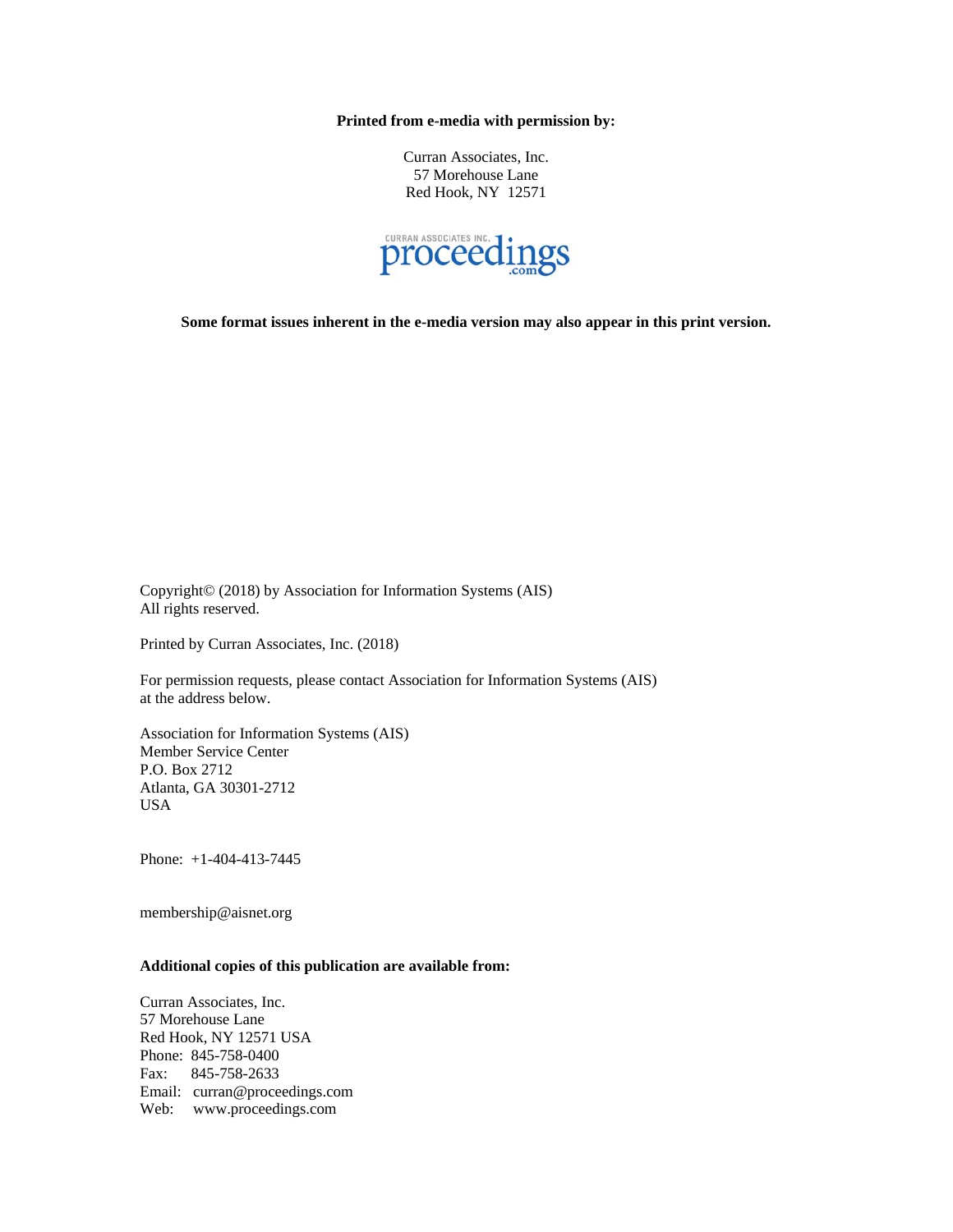**Printed from e-media with permission by:** 

Curran Associates, Inc. 57 Morehouse Lane Red Hook, NY 12571



**Some format issues inherent in the e-media version may also appear in this print version.** 

Copyright© (2018) by Association for Information Systems (AIS) All rights reserved.

Printed by Curran Associates, Inc. (2018)

For permission requests, please contact Association for Information Systems (AIS) at the address below.

Association for Information Systems (AIS) Member Service Center P.O. Box 2712 Atlanta, GA 30301-2712 USA

Phone: +1-404-413-7445

membership@aisnet.org

# **Additional copies of this publication are available from:**

Curran Associates, Inc. 57 Morehouse Lane Red Hook, NY 12571 USA Phone: 845-758-0400 Fax: 845-758-2633 Email: curran@proceedings.com Web: www.proceedings.com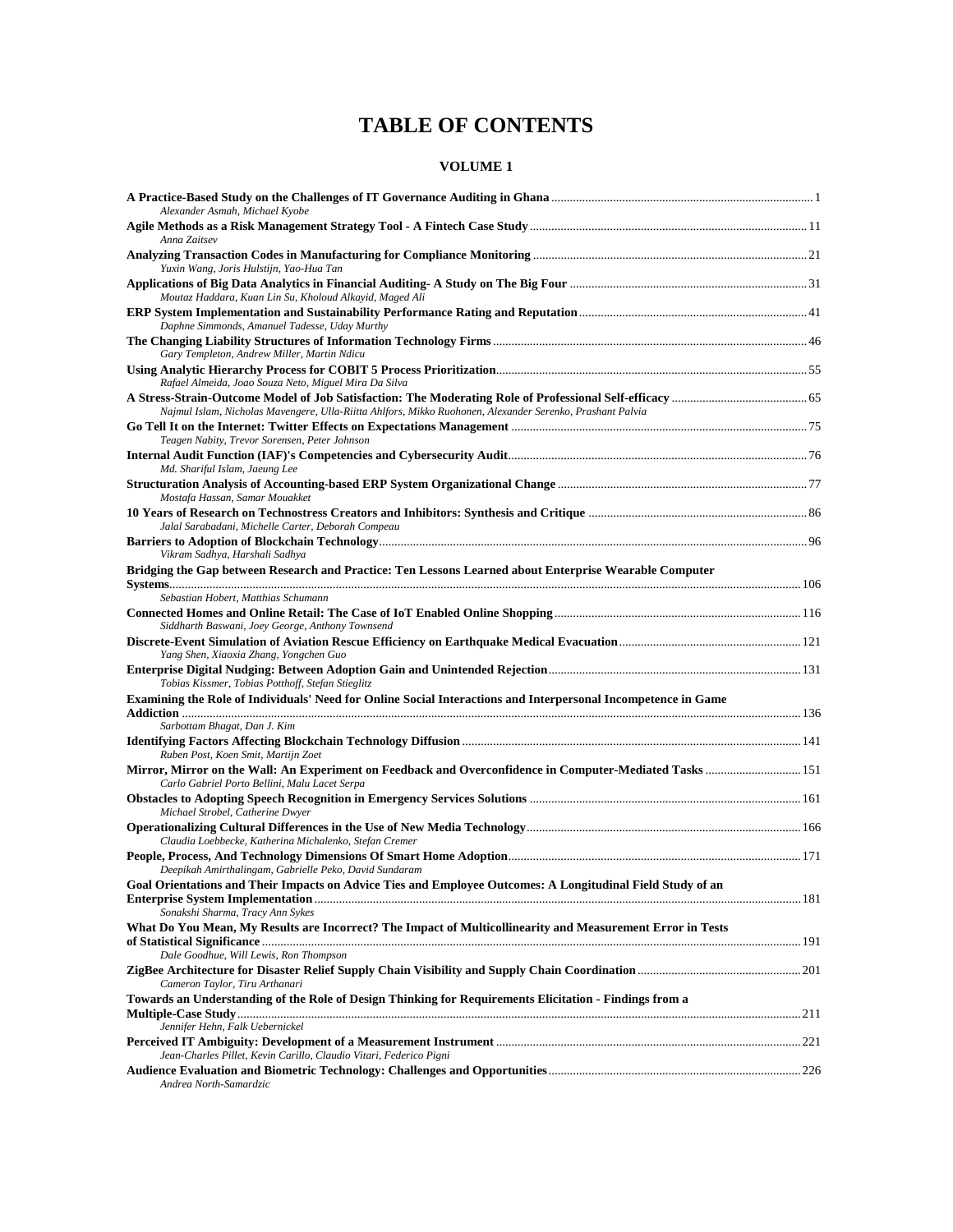# **TABLE OF CONTENTS**

| Alexander Asmah, Michael Kyobe                                                                                                            |  |
|-------------------------------------------------------------------------------------------------------------------------------------------|--|
| Anna Zaitsev                                                                                                                              |  |
| Yuxin Wang, Joris Hulstijn, Yao-Hua Tan                                                                                                   |  |
| Moutaz Haddara, Kuan Lin Su, Kholoud Alkayid, Maged Ali                                                                                   |  |
| Daphne Simmonds, Amanuel Tadesse, Uday Murthy                                                                                             |  |
| Gary Templeton, Andrew Miller, Martin Ndicu                                                                                               |  |
| Rafael Almeida, Joao Souza Neto, Miguel Mira Da Silva                                                                                     |  |
| Najmul Islam, Nicholas Mavengere, Ulla-Riitta Ahlfors, Mikko Ruohonen, Alexander Serenko, Prashant Palvia                                 |  |
|                                                                                                                                           |  |
| Teagen Nabity, Trevor Sorensen, Peter Johnson                                                                                             |  |
| Md. Shariful Islam, Jaeung Lee                                                                                                            |  |
|                                                                                                                                           |  |
| Mostafa Hassan, Samar Mouakket                                                                                                            |  |
| Jalal Sarabadani, Michelle Carter, Deborah Compeau                                                                                        |  |
|                                                                                                                                           |  |
| Vikram Sadhya, Harshali Sadhya                                                                                                            |  |
| Bridging the Gap between Research and Practice: Ten Lessons Learned about Enterprise Wearable Computer                                    |  |
| Sebastian Hobert, Matthias Schumann                                                                                                       |  |
|                                                                                                                                           |  |
| Siddharth Baswani, Joey George, Anthony Townsend                                                                                          |  |
| Yang Shen, Xiaoxia Zhang, Yongchen Guo                                                                                                    |  |
| Tobias Kissmer, Tobias Potthoff, Stefan Stieglitz                                                                                         |  |
| Examining the Role of Individuals' Need for Online Social Interactions and Interpersonal Incompetence in Game                             |  |
| Sarbottam Bhagat, Dan J. Kim                                                                                                              |  |
| Ruben Post, Koen Smit, Martijn Zoet                                                                                                       |  |
| Carlo Gabriel Porto Bellini, Malu Lacet Serpa                                                                                             |  |
|                                                                                                                                           |  |
| Michael Strobel, Catherine Dwyer                                                                                                          |  |
| Claudia Loebbecke, Katherina Michalenko, Stefan Cremer                                                                                    |  |
| Deepikah Amirthalingam, Gabrielle Peko, David Sundaram                                                                                    |  |
| Goal Orientations and Their Impacts on Advice Ties and Employee Outcomes: A Longitudinal Field Study of an                                |  |
| Sonakshi Sharma, Tracy Ann Sykes                                                                                                          |  |
| What Do You Mean, My Results are Incorrect? The Impact of Multicollinearity and Measurement Error in Tests                                |  |
| Dale Goodhue, Will Lewis, Ron Thompson                                                                                                    |  |
| Cameron Taylor, Tiru Arthanari                                                                                                            |  |
| Towards an Understanding of the Role of Design Thinking for Requirements Elicitation - Findings from a<br>Jennifer Hehn, Falk Uebernickel |  |
|                                                                                                                                           |  |
| Jean-Charles Pillet, Kevin Carillo, Claudio Vitari, Federico Pigni                                                                        |  |
| Andrea North-Samardzic                                                                                                                    |  |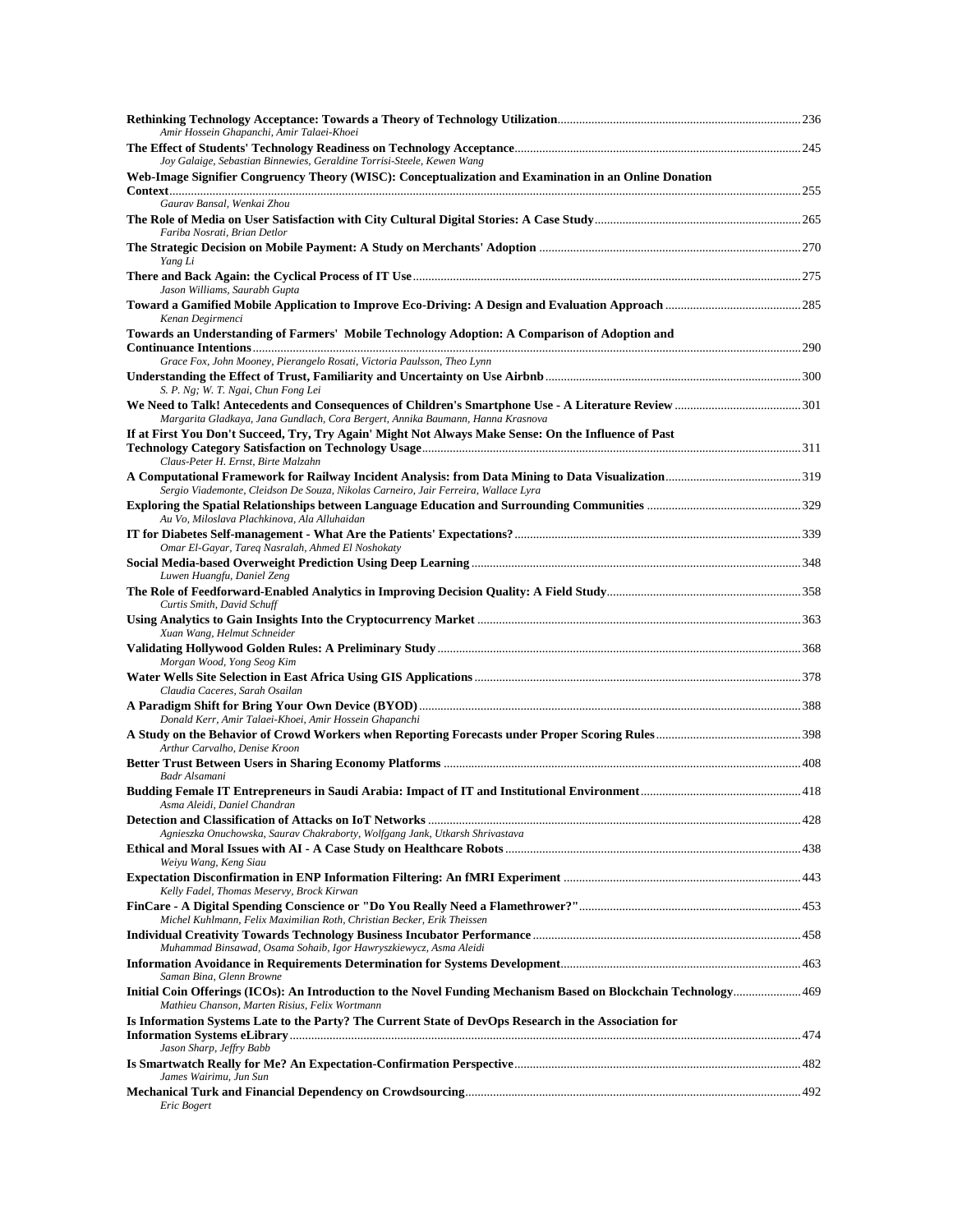| Amir Hossein Ghapanchi, Amir Talaei-Khoei                                                                                                                                |  |
|--------------------------------------------------------------------------------------------------------------------------------------------------------------------------|--|
| Joy Galaige, Sebastian Binnewies, Geraldine Torrisi-Steele, Kewen Wang                                                                                                   |  |
| Web-Image Signifier Congruency Theory (WISC): Conceptualization and Examination in an Online Donation                                                                    |  |
| Gauray Bansal, Wenkai Zhou<br>Fariba Nosrati, Brian Detlor                                                                                                               |  |
| Yang Li                                                                                                                                                                  |  |
| Jason Williams, Saurabh Gupta                                                                                                                                            |  |
| Kenan Degirmenci                                                                                                                                                         |  |
| Towards an Understanding of Farmers' Mobile Technology Adoption: A Comparison of Adoption and<br>Grace Fox, John Mooney, Pierangelo Rosati, Victoria Paulsson, Theo Lynn |  |
|                                                                                                                                                                          |  |
| S. P. Ng; W. T. Ngai, Chun Fong Lei<br>Margarita Gladkaya, Jana Gundlach, Cora Bergert, Annika Baumann, Hanna Krasnova                                                   |  |
| If at First You Don't Succeed, Try, Try Again' Might Not Always Make Sense: On the Influence of Past<br>Claus-Peter H. Ernst, Birte Malzahn                              |  |
| Sergio Viademonte, Cleidson De Souza, Nikolas Carneiro, Jair Ferreira, Wallace Lyra                                                                                      |  |
| Au Vo, Miloslava Plachkinova, Ala Alluhaidan                                                                                                                             |  |
| Omar El-Gayar, Tareq Nasralah, Ahmed El Noshokaty                                                                                                                        |  |
| Luwen Huangfu, Daniel Zeng                                                                                                                                               |  |
| Curtis Smith, David Schuff                                                                                                                                               |  |
| Xuan Wang, Helmut Schneider                                                                                                                                              |  |
| Morgan Wood, Yong Seog Kim                                                                                                                                               |  |
| Claudia Caceres, Sarah Osailan                                                                                                                                           |  |
| Donald Kerr, Amir Talaei-Khoei, Amir Hossein Ghapanchi                                                                                                                   |  |
| Arthur Carvalho, Denise Kroon                                                                                                                                            |  |
| Badr Alsamani                                                                                                                                                            |  |
| Asma Aleidi, Daniel Chandran                                                                                                                                             |  |
| Agnieszka Onuchowska, Saurav Chakraborty, Wolfgang Jank, Utkarsh Shrivastava                                                                                             |  |
| Weiyu Wang, Keng Siau                                                                                                                                                    |  |
| Kelly Fadel, Thomas Meservy, Brock Kirwan                                                                                                                                |  |
| Michel Kuhlmann, Felix Maximilian Roth, Christian Becker, Erik Theissen                                                                                                  |  |
| Muhammad Binsawad, Osama Sohaib, Igor Hawryszkiewycz, Asma Aleidi                                                                                                        |  |
| Saman Bina, Glenn Browne                                                                                                                                                 |  |
| Initial Coin Offerings (ICOs): An Introduction to the Novel Funding Mechanism Based on Blockchain Technology 469<br>Mathieu Chanson, Marten Risius, Felix Wortmann       |  |
| Is Information Systems Late to the Party? The Current State of DevOps Research in the Association for<br>Jason Sharp, Jeffry Babb                                        |  |
| James Wairimu, Jun Sun                                                                                                                                                   |  |
| Eric Bogert                                                                                                                                                              |  |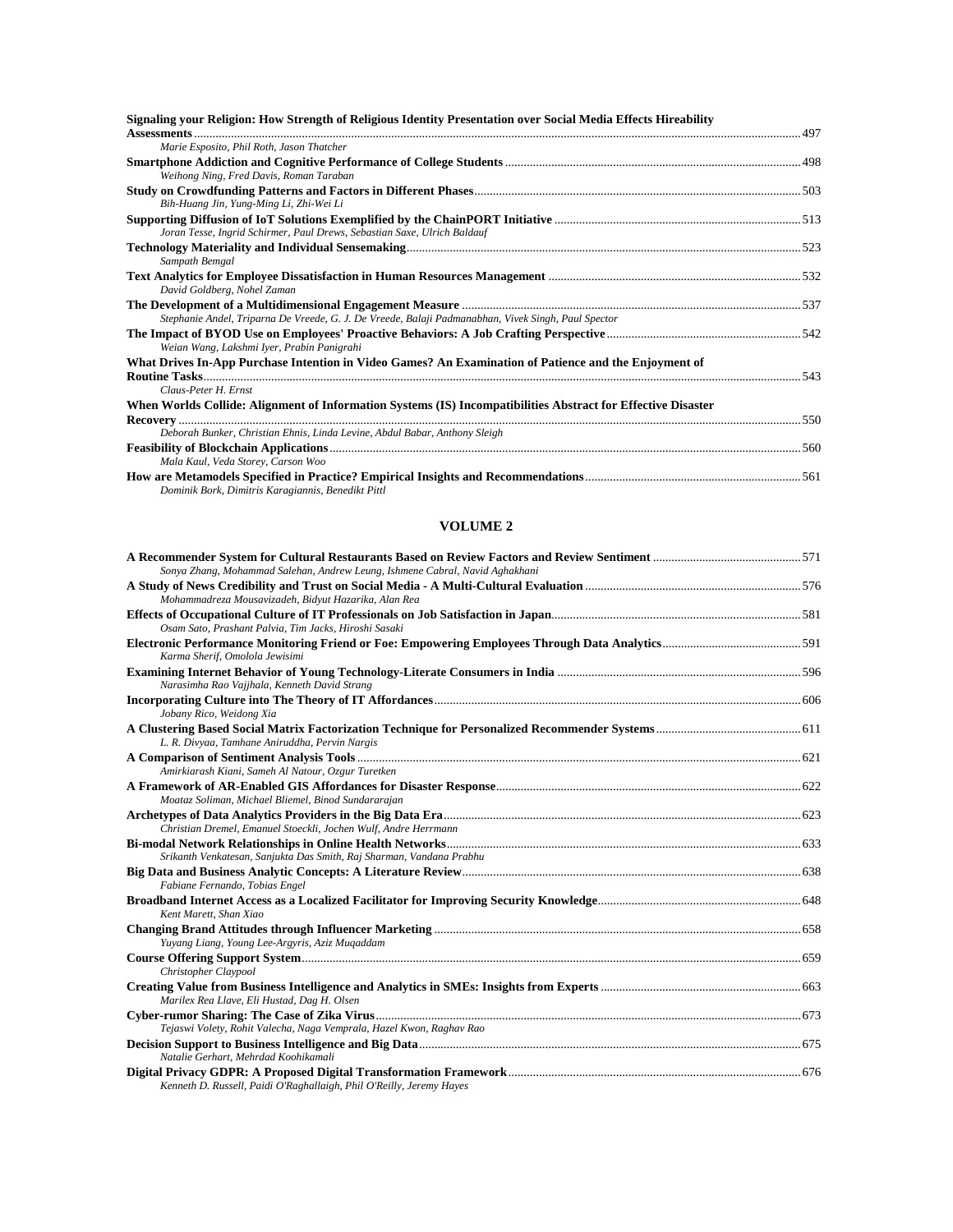| Signaling your Religion: How Strength of Religious Identity Presentation over Social Media Effects Hireability                |  |
|-------------------------------------------------------------------------------------------------------------------------------|--|
| Marie Esposito, Phil Roth, Jason Thatcher                                                                                     |  |
| Weihong Ning, Fred Davis, Roman Taraban                                                                                       |  |
| Bih-Huang Jin, Yung-Ming Li, Zhi-Wei Li                                                                                       |  |
| Joran Tesse, Ingrid Schirmer, Paul Drews, Sebastian Saxe, Ulrich Baldauf                                                      |  |
| Sampath Bemgal                                                                                                                |  |
| David Goldberg, Nohel Zaman                                                                                                   |  |
| Stephanie Andel, Triparna De Vreede, G. J. De Vreede, Balaji Padmanabhan, Vivek Singh, Paul Spector                           |  |
| Weian Wang, Lakshmi Iyer, Prabin Panigrahi                                                                                    |  |
| What Drives In-App Purchase Intention in Video Games? An Examination of Patience and the Enjoyment of<br>Claus-Peter H. Ernst |  |
| When Worlds Collide: Alignment of Information Systems (IS) Incompatibilities Abstract for Effective Disaster                  |  |
| Deborah Bunker, Christian Ehnis, Linda Levine, Abdul Babar, Anthony Sleigh                                                    |  |
| Mala Kaul, Veda Storey, Carson Woo                                                                                            |  |
| Dominik Bork, Dimitris Karagiannis, Benedikt Pittl                                                                            |  |

| Sonya Zhang, Mohammad Salehan, Andrew Leung, Ishmene Cabral, Navid Aghakhani |  |
|------------------------------------------------------------------------------|--|
|                                                                              |  |
| Mohammadreza Mousavizadeh, Bidyut Hazarika, Alan Rea                         |  |
| Osam Sato, Prashant Palvia, Tim Jacks, Hiroshi Sasaki                        |  |
| Karma Sherif, Omolola Jewisimi                                               |  |
| Narasimha Rao Vajjhala, Kenneth David Strang                                 |  |
| Jobany Rico, Weidong Xia                                                     |  |
| L. R. Divyaa, Tamhane Aniruddha, Pervin Nargis                               |  |
| Amirkiarash Kiani, Sameh Al Natour, Ozgur Turetken                           |  |
|                                                                              |  |
| Moataz Soliman, Michael Bliemel, Binod Sundararajan                          |  |
| Christian Dremel, Emanuel Stoeckli, Jochen Wulf, Andre Herrmann              |  |
|                                                                              |  |
| Srikanth Venkatesan, Sanjukta Das Smith, Raj Sharman, Vandana Prabhu         |  |
| Fabiane Fernando, Tobias Engel                                               |  |
|                                                                              |  |
| Kent Marett, Shan Xiao                                                       |  |
|                                                                              |  |
| Yuyang Liang, Young Lee-Argyris, Aziz Muqaddam                               |  |
|                                                                              |  |
| Christopher Claypool                                                         |  |
| Marilex Rea Llave, Eli Hustad, Dag H. Olsen                                  |  |
| Tejaswi Volety, Rohit Valecha, Naga Vemprala, Hazel Kwon, Raghav Rao         |  |
| Natalie Gerhart, Mehrdad Koohikamali                                         |  |
| Kenneth D. Russell, Paidi O'Raghallaigh, Phil O'Reilly, Jeremy Hayes         |  |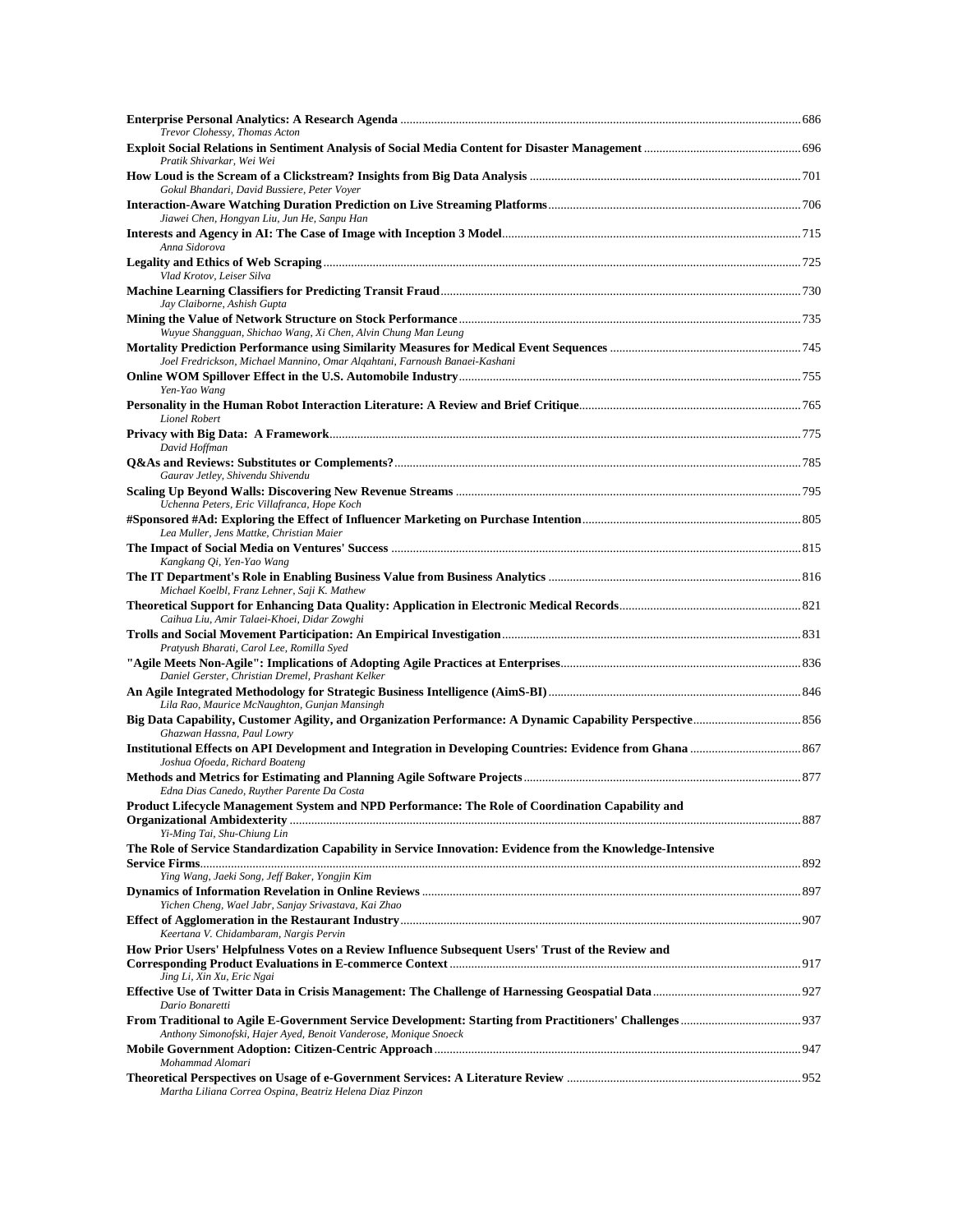| Trevor Clohessy, Thomas Acton                                                                               |  |
|-------------------------------------------------------------------------------------------------------------|--|
| Pratik Shivarkar, Wei Wei                                                                                   |  |
| Gokul Bhandari, David Bussiere, Peter Voyer                                                                 |  |
|                                                                                                             |  |
| Jiawei Chen, Hongyan Liu, Jun He, Sanpu Han<br>Anna Sidorova                                                |  |
|                                                                                                             |  |
| Vlad Krotov, Leiser Silva                                                                                   |  |
| Jay Claiborne, Ashish Gupta                                                                                 |  |
| Wuyue Shangguan, Shichao Wang, Xi Chen, Alvin Chung Man Leung                                               |  |
| Joel Fredrickson, Michael Mannino, Omar Alqahtani, Farnoush Banaei-Kashani                                  |  |
| Yen-Yao Wang                                                                                                |  |
| Lionel Robert                                                                                               |  |
|                                                                                                             |  |
| David Hoffman                                                                                               |  |
| Gaurav Jetley, Shivendu Shivendu                                                                            |  |
| Uchenna Peters, Eric Villafranca, Hope Koch                                                                 |  |
| Lea Muller, Jens Mattke, Christian Maier                                                                    |  |
| Kangkang Qi, Yen-Yao Wang                                                                                   |  |
| Michael Koelbl, Franz Lehner, Saji K. Mathew                                                                |  |
| Caihua Liu, Amir Talaei-Khoei, Didar Zowghi                                                                 |  |
| Pratyush Bharati, Carol Lee, Romilla Syed                                                                   |  |
| Daniel Gerster, Christian Dremel, Prashant Kelker                                                           |  |
| Lila Rao, Maurice McNaughton, Gunjan Mansingh                                                               |  |
| Ghazwan Hassna, Paul Lowry                                                                                  |  |
| Joshua Ofoeda, Richard Boateng                                                                              |  |
| Edna Dias Canedo, Ruyther Parente Da Costa                                                                  |  |
| Product Lifecycle Management System and NPD Performance: The Role of Coordination Capability and            |  |
| Yi-Ming Tai, Shu-Chiung Lin                                                                                 |  |
| The Role of Service Standardization Capability in Service Innovation: Evidence from the Knowledge-Intensive |  |
| Ying Wang, Jaeki Song, Jeff Baker, Yongjin Kim                                                              |  |
| Yichen Cheng, Wael Jabr, Sanjay Srivastava, Kai Zhao                                                        |  |
| Keertana V. Chidambaram, Nargis Pervin                                                                      |  |
| How Prior Users' Helpfulness Votes on a Review Influence Subsequent Users' Trust of the Review and          |  |
| Jing Li, Xin Xu, Eric Ngai                                                                                  |  |
| Dario Bonaretti                                                                                             |  |
| Anthony Simonofski, Hajer Ayed, Benoit Vanderose, Monique Snoeck                                            |  |
| Mohammad Alomari                                                                                            |  |
| Martha Liliana Correa Ospina, Beatriz Helena Diaz Pinzon                                                    |  |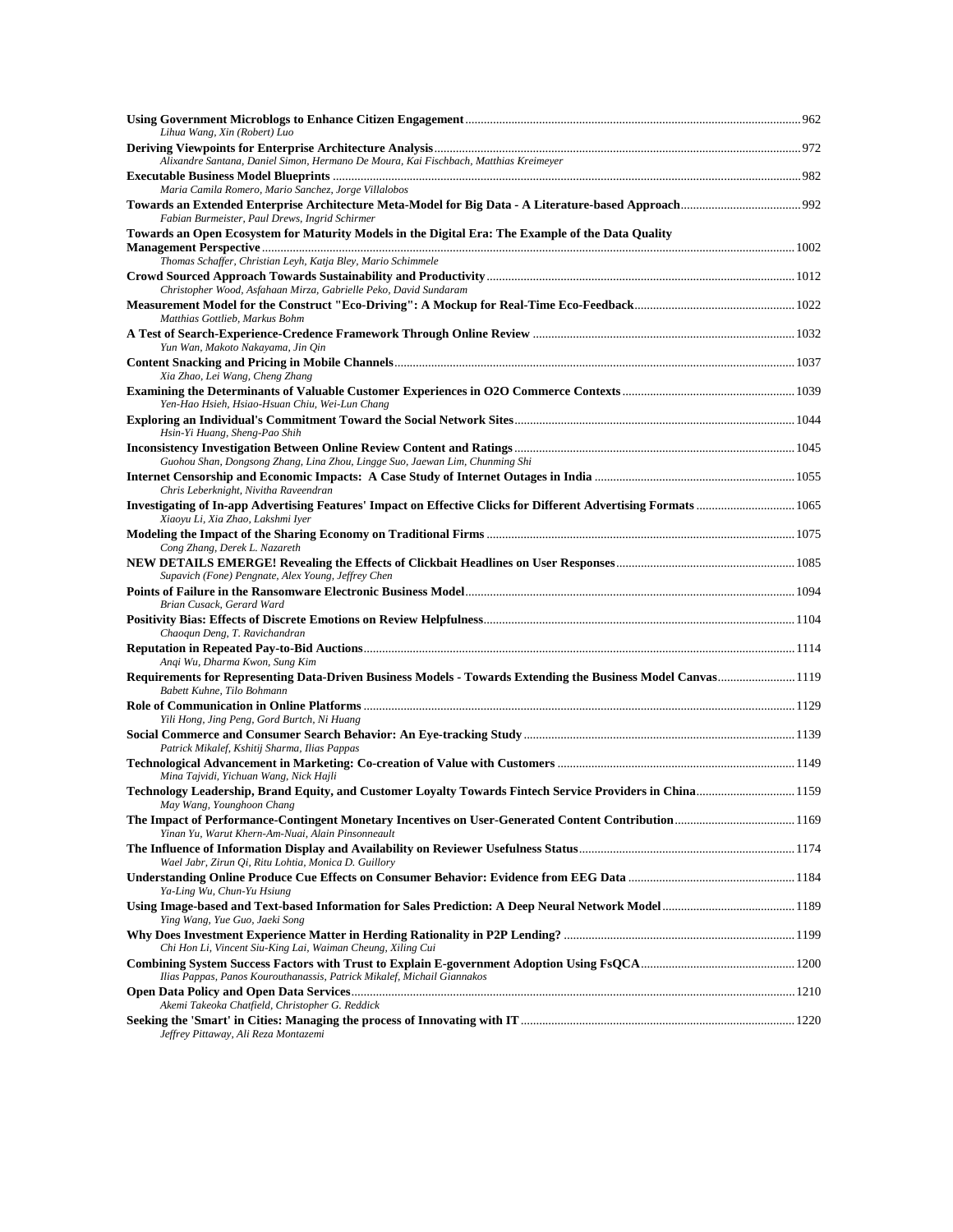| Lihua Wang, Xin (Robert) Luo                                                                                                                         |  |
|------------------------------------------------------------------------------------------------------------------------------------------------------|--|
|                                                                                                                                                      |  |
| Alixandre Santana, Daniel Simon, Hermano De Moura, Kai Fischbach, Matthias Kreimeyer                                                                 |  |
| Maria Camila Romero, Mario Sanchez, Jorge Villalobos                                                                                                 |  |
| Fabian Burmeister, Paul Drews, Ingrid Schirmer                                                                                                       |  |
| Towards an Open Ecosystem for Maturity Models in the Digital Era: The Example of the Data Quality                                                    |  |
|                                                                                                                                                      |  |
| Thomas Schaffer, Christian Leyh, Katja Bley, Mario Schimmele                                                                                         |  |
| Christopher Wood, Asfahaan Mirza, Gabrielle Peko, David Sundaram                                                                                     |  |
| Matthias Gottlieb, Markus Bohm                                                                                                                       |  |
| Yun Wan, Makoto Nakayama, Jin Qin                                                                                                                    |  |
|                                                                                                                                                      |  |
| Xia Zhao, Lei Wang, Cheng Zhang                                                                                                                      |  |
| Yen-Hao Hsieh, Hsiao-Hsuan Chiu, Wei-Lun Chang                                                                                                       |  |
|                                                                                                                                                      |  |
| Hsin-Yi Huang, Sheng-Pao Shih                                                                                                                        |  |
| Guohou Shan, Dongsong Zhang, Lina Zhou, Lingge Suo, Jaewan Lim, Chunming Shi                                                                         |  |
| Chris Leberknight, Nivitha Raveendran                                                                                                                |  |
| Investigating of In-app Advertising Features' Impact on Effective Clicks for Different Advertising Formats 1065<br>Xiaoyu Li, Xia Zhao, Lakshmi Iyer |  |
| Cong Zhang, Derek L. Nazareth                                                                                                                        |  |
| Supavich (Fone) Pengnate, Alex Young, Jeffrey Chen                                                                                                   |  |
| Brian Cusack, Gerard Ward                                                                                                                            |  |
|                                                                                                                                                      |  |
| Chaoqun Deng, T. Ravichandran                                                                                                                        |  |
| Anqi Wu, Dharma Kwon, Sung Kim                                                                                                                       |  |
| Requirements for Representing Data-Driven Business Models - Towards Extending the Business Model Canvas1119<br>Babett Kuhne, Tilo Bohmann            |  |
| Yili Hong, Jing Peng, Gord Burtch, Ni Huang                                                                                                          |  |
| Patrick Mikalef, Kshitij Sharma, Ilias Pappas                                                                                                        |  |
| Mina Tajvidi, Yichuan Wang, Nick Hajli                                                                                                               |  |
| Technology Leadership, Brand Equity, and Customer Loyalty Towards Fintech Service Providers in China 1159<br>May Wang, Younghoon Chang               |  |
| Yinan Yu, Warut Khern-Am-Nuai, Alain Pinsonneault                                                                                                    |  |
| Wael Jabr, Zirun Qi, Ritu Lohtia, Monica D. Guillory                                                                                                 |  |
| Ya-Ling Wu, Chun-Yu Hsiung                                                                                                                           |  |
| Ying Wang, Yue Guo, Jaeki Song                                                                                                                       |  |
| Chi Hon Li, Vincent Siu-King Lai, Waiman Cheung, Xiling Cui                                                                                          |  |
| Ilias Pappas, Panos Kourouthanassis, Patrick Mikalef, Michail Giannakos                                                                              |  |
|                                                                                                                                                      |  |
| Akemi Takeoka Chatfield, Christopher G. Reddick                                                                                                      |  |
| Jeffrey Pittaway, Ali Reza Montazemi                                                                                                                 |  |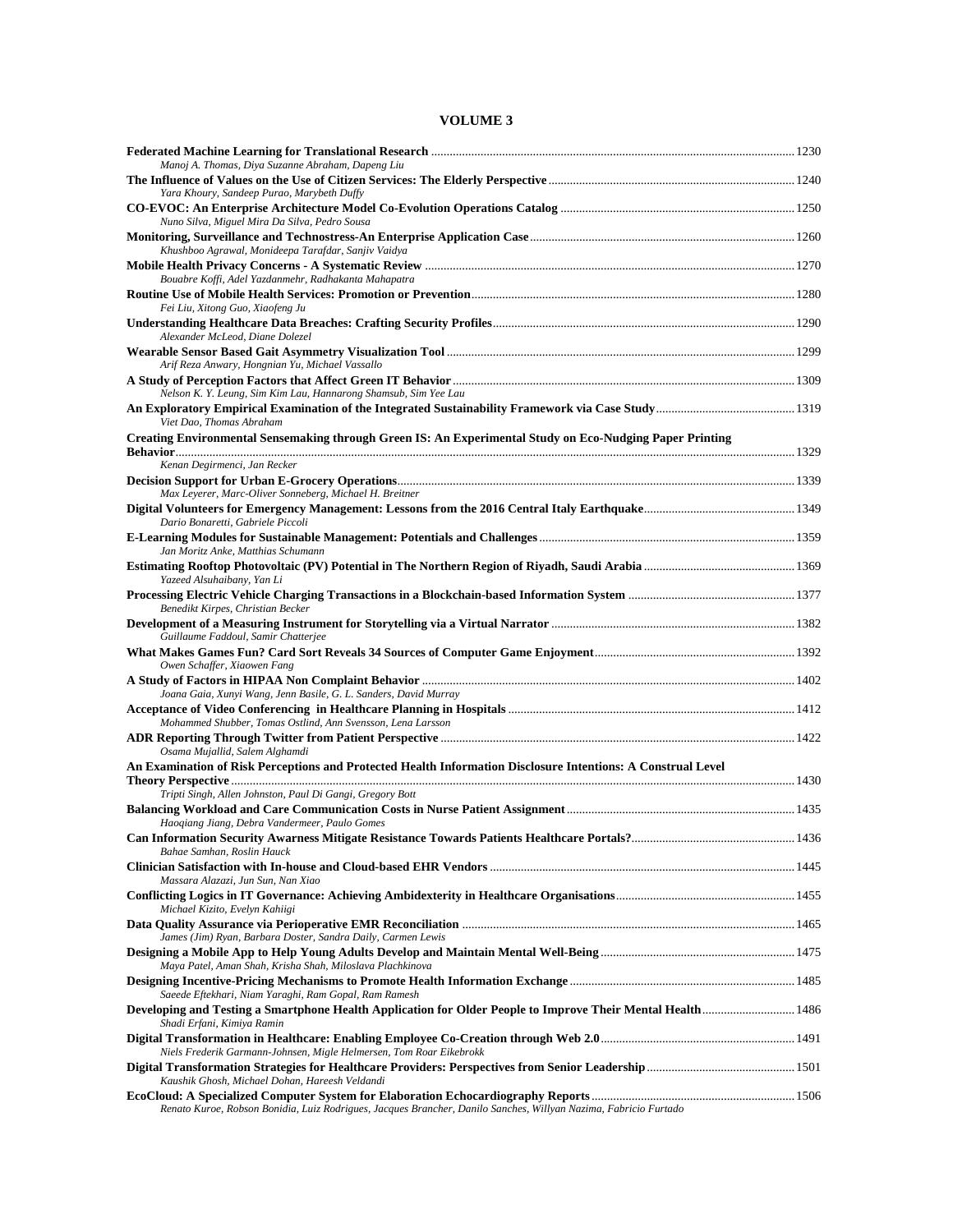| Manoj A. Thomas, Diya Suzanne Abraham, Dapeng Liu                                                                                          |  |
|--------------------------------------------------------------------------------------------------------------------------------------------|--|
| Yara Khoury, Sandeep Purao, Marybeth Duffy                                                                                                 |  |
| Nuno Silva, Miguel Mira Da Silva, Pedro Sousa                                                                                              |  |
| Khushboo Agrawal, Monideepa Tarafdar, Sanjiv Vaidya                                                                                        |  |
| Bouabre Koffi, Adel Yazdanmehr, Radhakanta Mahapatra                                                                                       |  |
| Fei Liu, Xitong Guo, Xiaofeng Ju                                                                                                           |  |
| Alexander McLeod, Diane Dolezel                                                                                                            |  |
| Arif Reza Anwary, Hongnian Yu, Michael Vassallo                                                                                            |  |
|                                                                                                                                            |  |
| Nelson K. Y. Leung, Sim Kim Lau, Hannarong Shamsub, Sim Yee Lau<br>Viet Dao, Thomas Abraham                                                |  |
| Creating Environmental Sensemaking through Green IS: An Experimental Study on Eco-Nudging Paper Printing                                   |  |
| Kenan Degirmenci, Jan Recker                                                                                                               |  |
| Max Leyerer, Marc-Oliver Sonneberg, Michael H. Breitner                                                                                    |  |
| Dario Bonaretti, Gabriele Piccoli                                                                                                          |  |
| Jan Moritz Anke, Matthias Schumann                                                                                                         |  |
| Yazeed Alsuhaibany, Yan Li                                                                                                                 |  |
| Benedikt Kirpes, Christian Becker                                                                                                          |  |
| Guillaume Faddoul, Samir Chatterjee                                                                                                        |  |
| Owen Schaffer, Xiaowen Fang                                                                                                                |  |
| Joana Gaia, Xunyi Wang, Jenn Basile, G. L. Sanders, David Murray                                                                           |  |
| Mohammed Shubber, Tomas Ostlind, Ann Svensson, Lena Larsson                                                                                |  |
| Osama Mujallid, Salem Alghamdi                                                                                                             |  |
| An Examination of Risk Perceptions and Protected Health Information Disclosure Intentions: A Construal Level                               |  |
| Tripti Singh, Allen Johnston, Paul Di Gangi, Gregory Bott                                                                                  |  |
| Haoqiang Jiang, Debra Vandermeer, Paulo Gomes                                                                                              |  |
| Bahae Samhan, Roslin Hauck                                                                                                                 |  |
| Massara Alazazi, Jun Sun, Nan Xiao                                                                                                         |  |
| Michael Kizito, Evelyn Kahiigi                                                                                                             |  |
| James (Jim) Ryan, Barbara Doster, Sandra Daily, Carmen Lewis                                                                               |  |
| Maya Patel, Aman Shah, Krisha Shah, Miloslava Plachkinova                                                                                  |  |
| Saeede Eftekhari, Niam Yaraghi, Ram Gopal, Ram Ramesh                                                                                      |  |
| Developing and Testing a Smartphone Health Application for Older People to Improve Their Mental Health  1486<br>Shadi Erfani, Kimiya Ramin |  |
| Niels Frederik Garmann-Johnsen, Migle Helmersen, Tom Roar Eikebrokk                                                                        |  |
| Kaushik Ghosh, Michael Dohan, Hareesh Veldandi                                                                                             |  |
| Renato Kuroe, Robson Bonidia, Luiz Rodrigues, Jacques Brancher, Danilo Sanches, Willyan Nazima, Fabricio Furtado                           |  |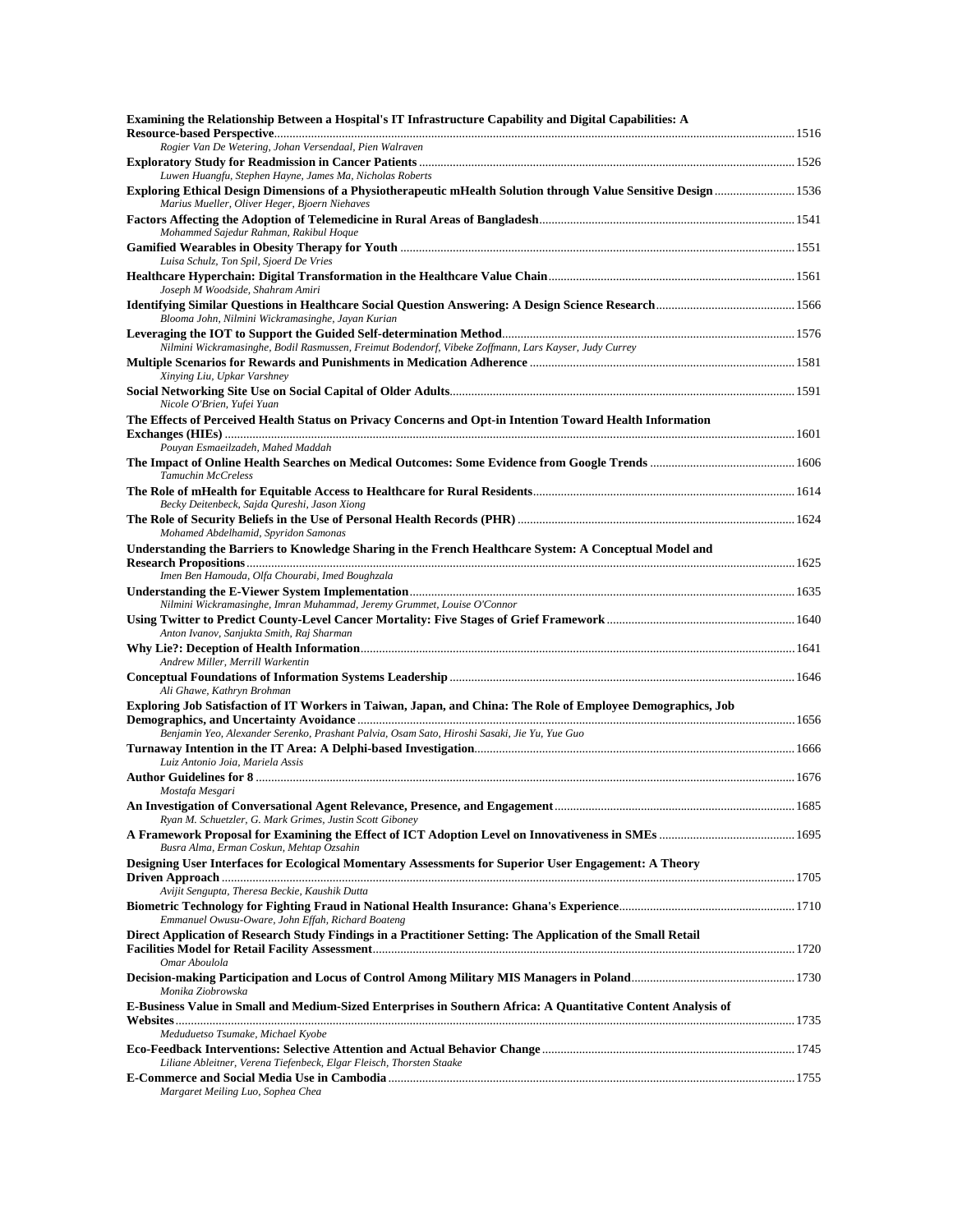| Examining the Relationship Between a Hospital's IT Infrastructure Capability and Digital Capabilities: A                                          |  |
|---------------------------------------------------------------------------------------------------------------------------------------------------|--|
| Rogier Van De Wetering, Johan Versendaal, Pien Walraven                                                                                           |  |
| Luwen Huangfu, Stephen Hayne, James Ma, Nicholas Roberts                                                                                          |  |
| Marius Mueller, Oliver Heger, Bjoern Niehaves                                                                                                     |  |
| Mohammed Sajedur Rahman, Rakibul Hoque                                                                                                            |  |
| Luisa Schulz, Ton Spil, Sjoerd De Vries                                                                                                           |  |
| Joseph M Woodside, Shahram Amiri                                                                                                                  |  |
| Blooma John, Nilmini Wickramasinghe, Jayan Kurian                                                                                                 |  |
| Nilmini Wickramasinghe, Bodil Rasmussen, Freimut Bodendorf, Vibeke Zoffmann, Lars Kayser, Judy Currey                                             |  |
|                                                                                                                                                   |  |
| Xinying Liu, Upkar Varshney                                                                                                                       |  |
| Nicole O'Brien, Yufei Yuan<br>The Effects of Perceived Health Status on Privacy Concerns and Opt-in Intention Toward Health Information           |  |
| Pouyan Esmaeilzadeh, Mahed Maddah                                                                                                                 |  |
| Tamuchin McCreless                                                                                                                                |  |
| Becky Deitenbeck, Sajda Qureshi, Jason Xiong                                                                                                      |  |
| Mohamed Abdelhamid, Spyridon Samonas<br>Understanding the Barriers to Knowledge Sharing in the French Healthcare System: A Conceptual Model and   |  |
| Imen Ben Hamouda, Olfa Chourabi, Imed Boughzala                                                                                                   |  |
| Nilmini Wickramasinghe, Imran Muhammad, Jeremy Grummet, Louise O'Connor                                                                           |  |
| Anton Ivanov, Sanjukta Smith, Raj Sharman                                                                                                         |  |
| Andrew Miller, Merrill Warkentin                                                                                                                  |  |
| Ali Ghawe, Kathryn Brohman                                                                                                                        |  |
| Exploring Job Satisfaction of IT Workers in Taiwan, Japan, and China: The Role of Employee Demographics, Job                                      |  |
| Benjamin Yeo, Alexander Serenko, Prashant Palvia, Osam Sato, Hiroshi Sasaki, Jie Yu, Yue Guo                                                      |  |
| Luiz Antonio Joia, Mariela Assis                                                                                                                  |  |
| Mostafa Mesgari                                                                                                                                   |  |
| Ryan M. Schuetzler, G. Mark Grimes, Justin Scott Giboney                                                                                          |  |
| Busra Alma, Erman Coskun, Mehtap Ozsahin<br>Designing User Interfaces for Ecological Momentary Assessments for Superior User Engagement: A Theory |  |
| Avijit Sengupta, Theresa Beckie, Kaushik Dutta                                                                                                    |  |
| Emmanuel Owusu-Oware, John Effah, Richard Boateng                                                                                                 |  |
| Direct Application of Research Study Findings in a Practitioner Setting: The Application of the Small Retail<br>Omar Aboulola                     |  |
| Monika Ziobrowska                                                                                                                                 |  |
| E-Business Value in Small and Medium-Sized Enterprises in Southern Africa: A Quantitative Content Analysis of                                     |  |
| Meduduetso Tsumake, Michael Kyobe                                                                                                                 |  |
| Liliane Ableitner, Verena Tiefenbeck, Elgar Fleisch, Thorsten Staake                                                                              |  |
| Margaret Meiling Luo, Sophea Chea                                                                                                                 |  |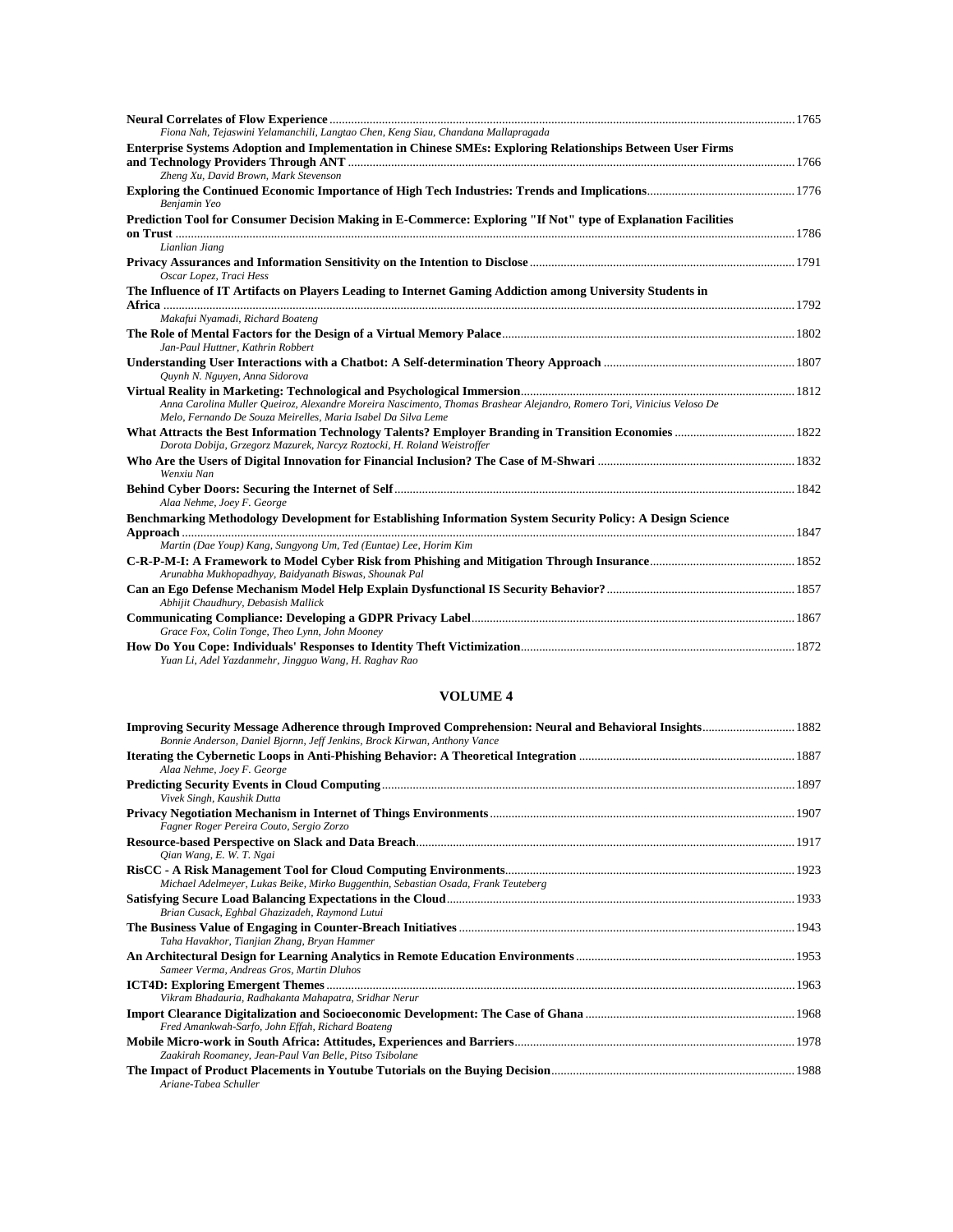| Fiona Nah, Tejaswini Yelamanchili, Langtao Chen, Keng Siau, Chandana Mallapragada                                                                                                       |  |
|-----------------------------------------------------------------------------------------------------------------------------------------------------------------------------------------|--|
| Enterprise Systems Adoption and Implementation in Chinese SMEs: Exploring Relationships Between User Firms                                                                              |  |
| Zheng Xu, David Brown, Mark Stevenson                                                                                                                                                   |  |
| Benjamin Yeo                                                                                                                                                                            |  |
| Prediction Tool for Consumer Decision Making in E-Commerce: Exploring "If Not" type of Explanation Facilities                                                                           |  |
|                                                                                                                                                                                         |  |
| Lianlian Jiang                                                                                                                                                                          |  |
| Oscar Lopez, Traci Hess                                                                                                                                                                 |  |
| The Influence of IT Artifacts on Players Leading to Internet Gaming Addiction among University Students in                                                                              |  |
|                                                                                                                                                                                         |  |
| Makafui Nyamadi, Richard Boateng                                                                                                                                                        |  |
| Jan-Paul Huttner, Kathrin Robbert                                                                                                                                                       |  |
|                                                                                                                                                                                         |  |
| Ouynh N. Nguyen, Anna Sidorova                                                                                                                                                          |  |
| Anna Carolina Muller Queiroz, Alexandre Moreira Nascimento, Thomas Brashear Alejandro, Romero Tori, Vinicius Veloso De<br>Melo, Fernando De Souza Meirelles, Maria Isabel Da Silva Leme |  |
| Dorota Dobija, Grzegorz Mazurek, Narcyz Roztocki, H. Roland Weistroffer                                                                                                                 |  |
| Wenxiu Nan                                                                                                                                                                              |  |
| Alaa Nehme, Joey F. George                                                                                                                                                              |  |
| Benchmarking Methodology Development for Establishing Information System Security Policy: A Design Science                                                                              |  |
|                                                                                                                                                                                         |  |
| Martin (Dae Youp) Kang, Sungyong Um, Ted (Euntae) Lee, Horim Kim                                                                                                                        |  |
| Arunabha Mukhopadhyay, Baidyanath Biswas, Shounak Pal                                                                                                                                   |  |
| Abhijit Chaudhury, Debasish Mallick                                                                                                                                                     |  |
| Grace Fox, Colin Tonge, Theo Lynn, John Mooney                                                                                                                                          |  |
| Yuan Li, Adel Yazdanmehr, Jingguo Wang, H. Raghav Rao                                                                                                                                   |  |

| Bonnie Anderson, Daniel Bjornn, Jeff Jenkins, Brock Kirwan, Anthony Vance          |  |
|------------------------------------------------------------------------------------|--|
| Alaa Nehme, Joey F. George                                                         |  |
| Vivek Singh, Kaushik Dutta                                                         |  |
| Fagner Roger Pereira Couto, Sergio Zorzo                                           |  |
| Oian Wang, E. W. T. Ngai                                                           |  |
| Michael Adelmeyer, Lukas Beike, Mirko Buggenthin, Sebastian Osada, Frank Teuteberg |  |
| Brian Cusack, Eghbal Ghazizadeh, Raymond Lutui                                     |  |
| Taha Havakhor, Tianjian Zhang, Bryan Hammer                                        |  |
| Sameer Verma, Andreas Gros, Martin Dluhos                                          |  |
| Vikram Bhadauria, Radhakanta Mahapatra, Sridhar Nerur                              |  |
| Fred Amankwah-Sarfo, John Effah, Richard Boateng                                   |  |
| Zaakirah Roomaney, Jean-Paul Van Belle, Pitso Tsibolane                            |  |
| Ariane-Tabea Schuller                                                              |  |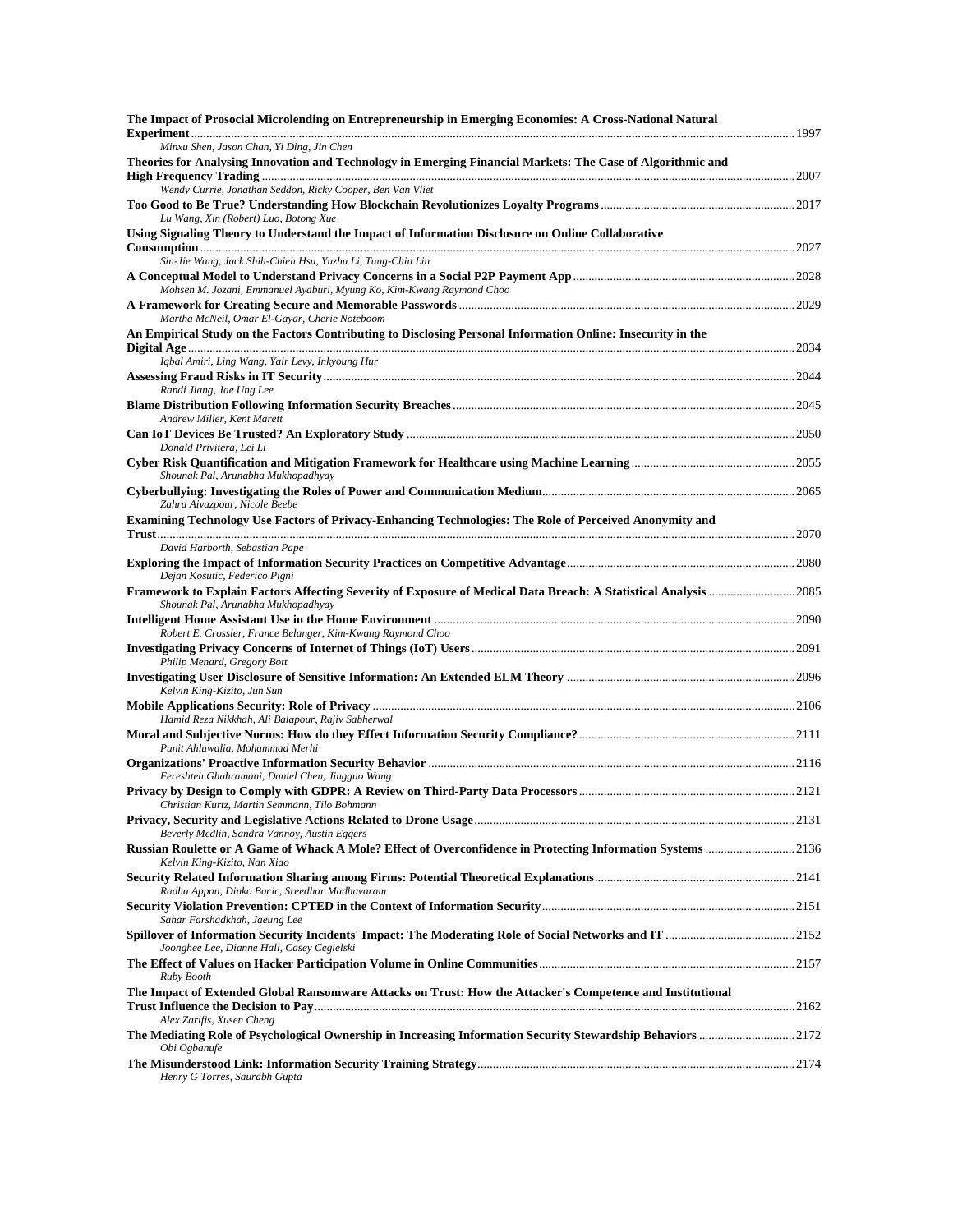| The Impact of Prosocial Microlending on Entrepreneurship in Emerging Economies: A Cross-National Natural                                 |  |
|------------------------------------------------------------------------------------------------------------------------------------------|--|
| Minxu Shen, Jason Chan, Yi Ding, Jin Chen                                                                                                |  |
| Theories for Analysing Innovation and Technology in Emerging Financial Markets: The Case of Algorithmic and                              |  |
| Wendy Currie, Jonathan Seddon, Ricky Cooper, Ben Van Vliet                                                                               |  |
| Lu Wang, Xin (Robert) Luo, Botong Xue                                                                                                    |  |
| Using Signaling Theory to Understand the Impact of Information Disclosure on Online Collaborative                                        |  |
| Sin-Jie Wang, Jack Shih-Chieh Hsu, Yuzhu Li, Tung-Chin Lin                                                                               |  |
| Mohsen M. Jozani, Emmanuel Ayaburi, Myung Ko, Kim-Kwang Raymond Choo                                                                     |  |
| Martha McNeil, Omar El-Gayar, Cherie Noteboom                                                                                            |  |
| An Empirical Study on the Factors Contributing to Disclosing Personal Information Online: Insecurity in the                              |  |
| Iqbal Amiri, Ling Wang, Yair Levy, Inkyoung Hur                                                                                          |  |
| Randi Jiang, Jae Ung Lee                                                                                                                 |  |
| Andrew Miller, Kent Marett                                                                                                               |  |
| Donald Privitera, Lei Li                                                                                                                 |  |
| Shounak Pal, Arunabha Mukhopadhyay                                                                                                       |  |
| Zahra Aivazpour, Nicole Beebe                                                                                                            |  |
| Examining Technology Use Factors of Privacy-Enhancing Technologies: The Role of Perceived Anonymity and                                  |  |
| David Harborth, Sebastian Pape                                                                                                           |  |
| Dejan Kosutic, Federico Pigni                                                                                                            |  |
| Shounak Pal, Arunabha Mukhopadhyay                                                                                                       |  |
| Robert E. Crossler, France Belanger, Kim-Kwang Raymond Choo                                                                              |  |
|                                                                                                                                          |  |
| Philip Menard, Gregory Bott<br>Kelvin King-Kizito, Jun Sun                                                                               |  |
|                                                                                                                                          |  |
| Hamid Reza Nikkhah, Ali Balapour, Rajiv Sabherwal                                                                                        |  |
| Punit Ahluwalia, Mohammad Merhi                                                                                                          |  |
| Fereshteh Ghahramani, Daniel Chen, Jingguo Wang                                                                                          |  |
| Christian Kurtz, Martin Semmann, Tilo Bohmann                                                                                            |  |
| Beverly Medlin, Sandra Vannoy, Austin Eggers                                                                                             |  |
| Kelvin King-Kizito, Nan Xiao                                                                                                             |  |
| Radha Appan, Dinko Bacic, Sreedhar Madhavaram                                                                                            |  |
| Sahar Farshadkhah, Jaeung Lee<br>Joonghee Lee, Dianne Hall, Casey Cegielski                                                              |  |
| Ruby Booth                                                                                                                               |  |
| The Impact of Extended Global Ransomware Attacks on Trust: How the Attacker's Competence and Institutional                               |  |
| Alex Zarifis, Xusen Cheng<br>The Mediating Role of Psychological Ownership in Increasing Information Security Stewardship Behaviors 2172 |  |
| Obi Ogbanufe<br>Henry G Torres, Saurabh Gupta                                                                                            |  |
|                                                                                                                                          |  |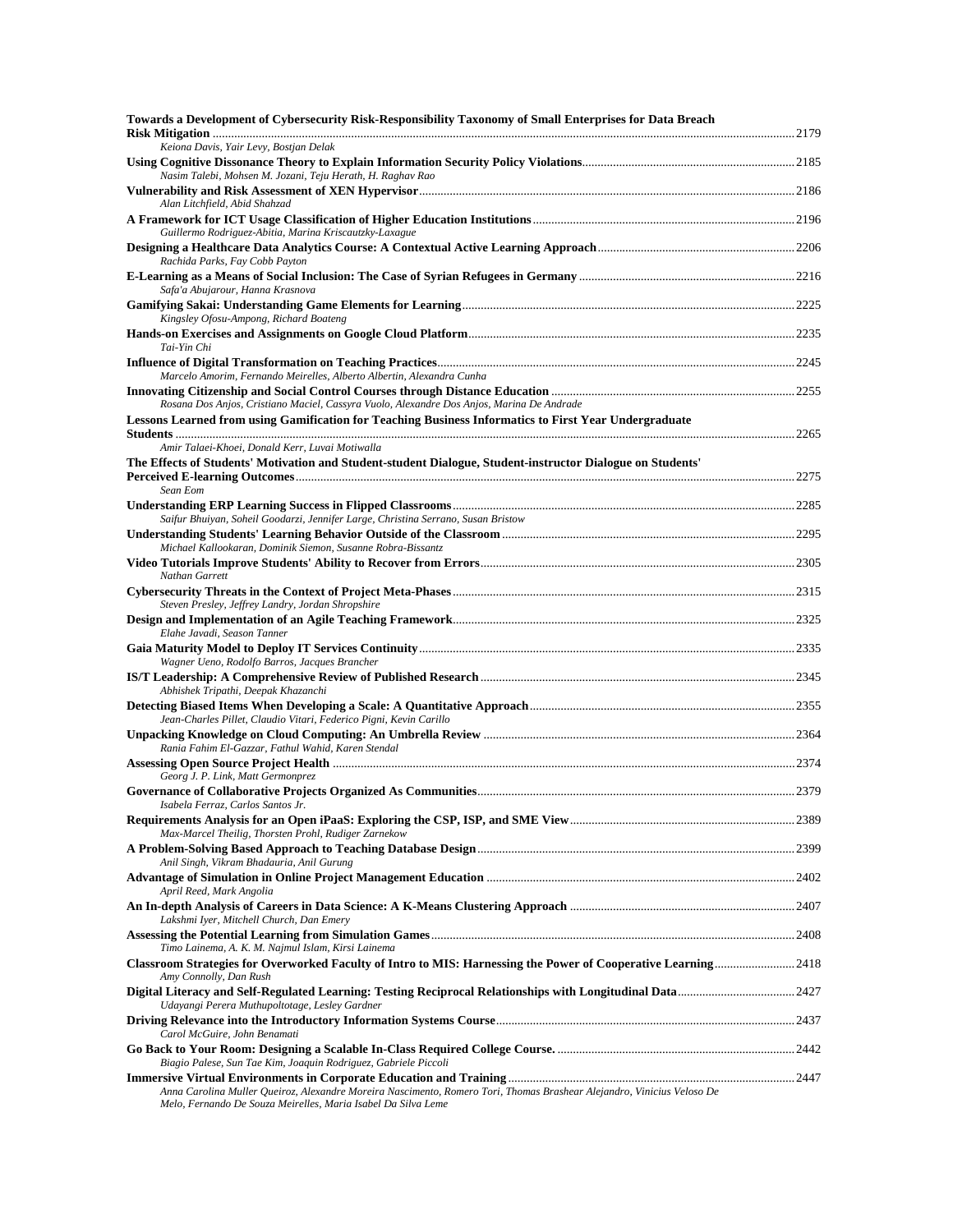| Towards a Development of Cybersecurity Risk-Responsibility Taxonomy of Small Enterprises for Data Breach                                                                                |  |
|-----------------------------------------------------------------------------------------------------------------------------------------------------------------------------------------|--|
| Keiona Davis, Yair Levy, Bostjan Delak                                                                                                                                                  |  |
| Nasim Talebi, Mohsen M. Jozani, Teju Herath, H. Raghav Rao                                                                                                                              |  |
| Alan Litchfield, Abid Shahzad                                                                                                                                                           |  |
| Guillermo Rodriguez-Abitia, Marina Kriscautzky-Laxague                                                                                                                                  |  |
| Rachida Parks, Fay Cobb Payton                                                                                                                                                          |  |
|                                                                                                                                                                                         |  |
| Safa'a Abujarour, Hanna Krasnova                                                                                                                                                        |  |
| Kingsley Ofosu-Ampong, Richard Boateng                                                                                                                                                  |  |
| Tai-Yin Chi                                                                                                                                                                             |  |
| Marcelo Amorim, Fernando Meirelles, Alberto Albertin, Alexandra Cunha                                                                                                                   |  |
| Rosana Dos Anjos, Cristiano Maciel, Cassyra Vuolo, Alexandre Dos Anjos, Marina De Andrade                                                                                               |  |
| Lessons Learned from using Gamification for Teaching Business Informatics to First Year Undergraduate                                                                                   |  |
| Amir Talaei-Khoei, Donald Kerr, Luvai Motiwalla                                                                                                                                         |  |
| The Effects of Students' Motivation and Student-student Dialogue, Student-instructor Dialogue on Students'                                                                              |  |
| Sean Eom                                                                                                                                                                                |  |
|                                                                                                                                                                                         |  |
| Saifur Bhuiyan, Soheil Goodarzi, Jennifer Large, Christina Serrano, Susan Bristow                                                                                                       |  |
| Michael Kallookaran, Dominik Siemon, Susanne Robra-Bissantz                                                                                                                             |  |
| Nathan Garrett                                                                                                                                                                          |  |
|                                                                                                                                                                                         |  |
| Steven Presley, Jeffrey Landry, Jordan Shropshire                                                                                                                                       |  |
| Elahe Javadi, Season Tanner                                                                                                                                                             |  |
| Wagner Ueno, Rodolfo Barros, Jacques Brancher                                                                                                                                           |  |
| Abhishek Tripathi, Deepak Khazanchi                                                                                                                                                     |  |
| Jean-Charles Pillet, Claudio Vitari, Federico Pigni, Kevin Carillo                                                                                                                      |  |
| Rania Fahim El-Gazzar, Fathul Wahid, Karen Stendal                                                                                                                                      |  |
|                                                                                                                                                                                         |  |
| Georg J. P. Link, Matt Germonprez                                                                                                                                                       |  |
| Isabela Ferraz, Carlos Santos Jr.                                                                                                                                                       |  |
| Max-Marcel Theilig, Thorsten Prohl, Rudiger Zarnekow                                                                                                                                    |  |
| Anil Singh, Vikram Bhadauria, Anil Gurung                                                                                                                                               |  |
| April Reed, Mark Angolia                                                                                                                                                                |  |
| Lakshmi Iyer, Mitchell Church, Dan Emery                                                                                                                                                |  |
|                                                                                                                                                                                         |  |
| Timo Lainema, A. K. M. Najmul Islam, Kirsi Lainema<br>Classroom Strategies for Overworked Faculty of Intro to MIS: Harnessing the Power of Cooperative Learning 2418                    |  |
| Amy Connolly, Dan Rush                                                                                                                                                                  |  |
| Udayangi Perera Muthupoltotage, Lesley Gardner                                                                                                                                          |  |
| Carol McGuire, John Benamati                                                                                                                                                            |  |
| Biagio Palese, Sun Tae Kim, Joaquin Rodriguez, Gabriele Piccoli                                                                                                                         |  |
|                                                                                                                                                                                         |  |
| Anna Carolina Muller Queiroz, Alexandre Moreira Nascimento, Romero Tori, Thomas Brashear Alejandro, Vinicius Veloso De<br>Melo, Fernando De Souza Meirelles, Maria Isabel Da Silva Leme |  |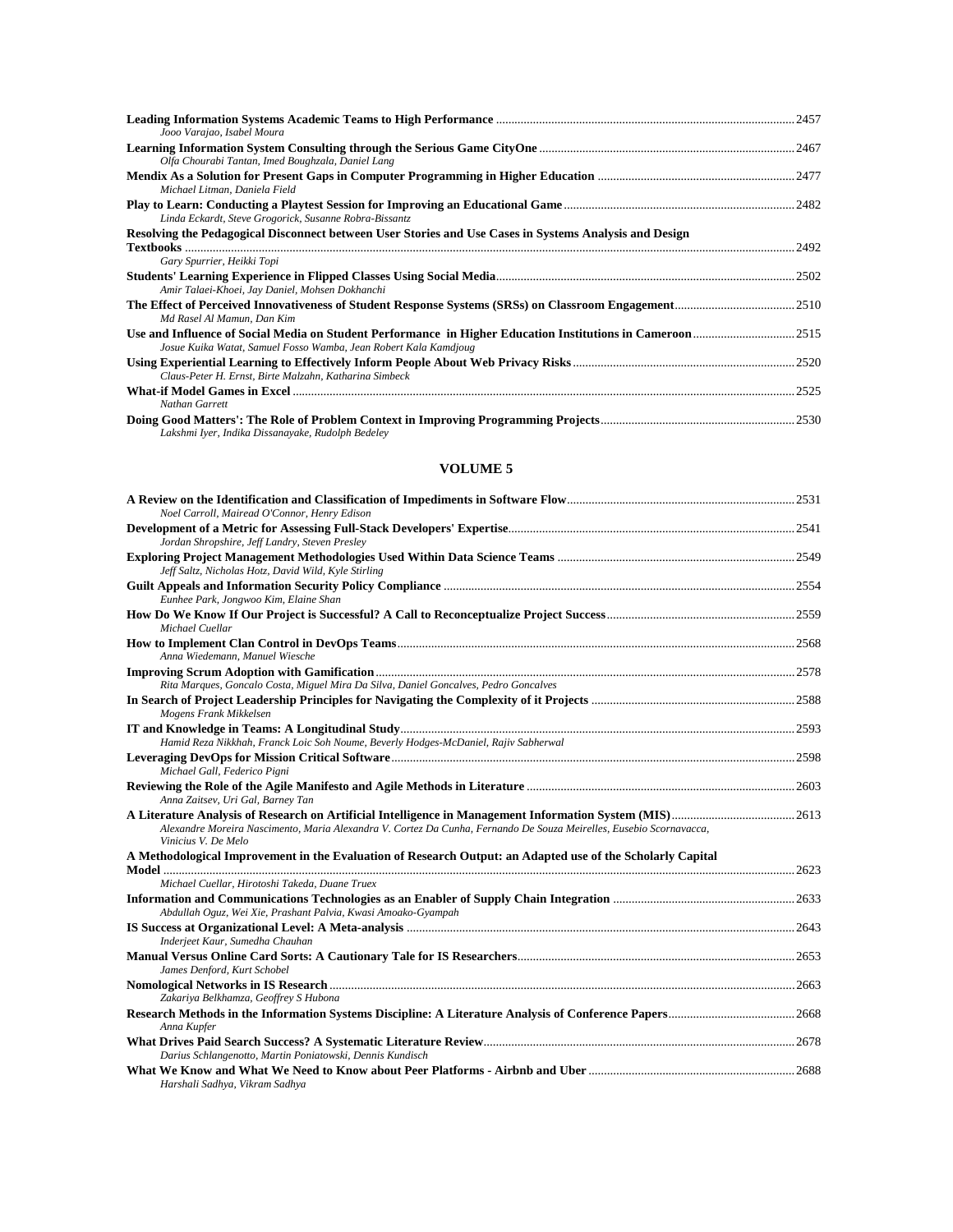| Jooo Varajao, Isabel Moura                                                                             |       |
|--------------------------------------------------------------------------------------------------------|-------|
| Olfa Chourabi Tantan, Imed Boughzala, Daniel Lang                                                      |       |
| Michael Litman, Daniela Field                                                                          |       |
| Linda Eckardt, Steve Grogorick, Susanne Robra-Bissantz                                                 |       |
| Resolving the Pedagogical Disconnect between User Stories and Use Cases in Systems Analysis and Design |       |
| Gary Spurrier, Heikki Topi                                                                             |       |
| Amir Talaei-Khoei, Jay Daniel, Mohsen Dokhanchi                                                        |       |
| Md Rasel Al Mamun, Dan Kim                                                                             |       |
| Josue Kuika Watat, Samuel Fosso Wamba, Jean Robert Kala Kamdjoug                                       |       |
| Claus-Peter H. Ernst, Birte Malzahn, Katharina Simbeck                                                 |       |
| Nathan Garrett                                                                                         | .2525 |
| Lakshmi Iver, Indika Dissanayake, Rudolph Bedeley                                                      | 2530  |

| Noel Carroll, Mairead O'Connor, Henry Edison                                                                                               |  |
|--------------------------------------------------------------------------------------------------------------------------------------------|--|
| Jordan Shropshire, Jeff Landry, Steven Presley                                                                                             |  |
| Jeff Saltz, Nicholas Hotz, David Wild, Kyle Stirling                                                                                       |  |
| Eunhee Park, Jongwoo Kim, Elaine Shan                                                                                                      |  |
| Michael Cuellar                                                                                                                            |  |
| Anna Wiedemann, Manuel Wiesche                                                                                                             |  |
| Rita Marques, Goncalo Costa, Miguel Mira Da Silva, Daniel Goncalves, Pedro Goncalves                                                       |  |
| Mogens Frank Mikkelsen                                                                                                                     |  |
| Hamid Reza Nikkhah, Franck Loic Soh Noume, Beverly Hodges-McDaniel, Rajiv Sabherwal                                                        |  |
| Michael Gall, Federico Pigni                                                                                                               |  |
| Anna Zaitsev, Uri Gal, Barney Tan                                                                                                          |  |
| Alexandre Moreira Nascimento, Maria Alexandra V. Cortez Da Cunha, Fernando De Souza Meirelles, Eusebio Scornavacca,<br>Vinicius V. De Melo |  |
| A Methodological Improvement in the Evaluation of Research Output: an Adapted use of the Scholarly Capital                                 |  |
| Michael Cuellar, Hirotoshi Takeda, Duane Truex<br>Abdullah Oguz, Wei Xie, Prashant Palvia, Kwasi Amoako-Gyampah                            |  |
| Inderjeet Kaur, Sumedha Chauhan                                                                                                            |  |
| James Denford, Kurt Schobel                                                                                                                |  |
| Zakariya Belkhamza, Geoffrey S Hubona                                                                                                      |  |
| Anna Kupfer                                                                                                                                |  |
| Darius Schlangenotto, Martin Poniatowski, Dennis Kundisch                                                                                  |  |
|                                                                                                                                            |  |

*Harshali Sadhya, Vikram Sadhya*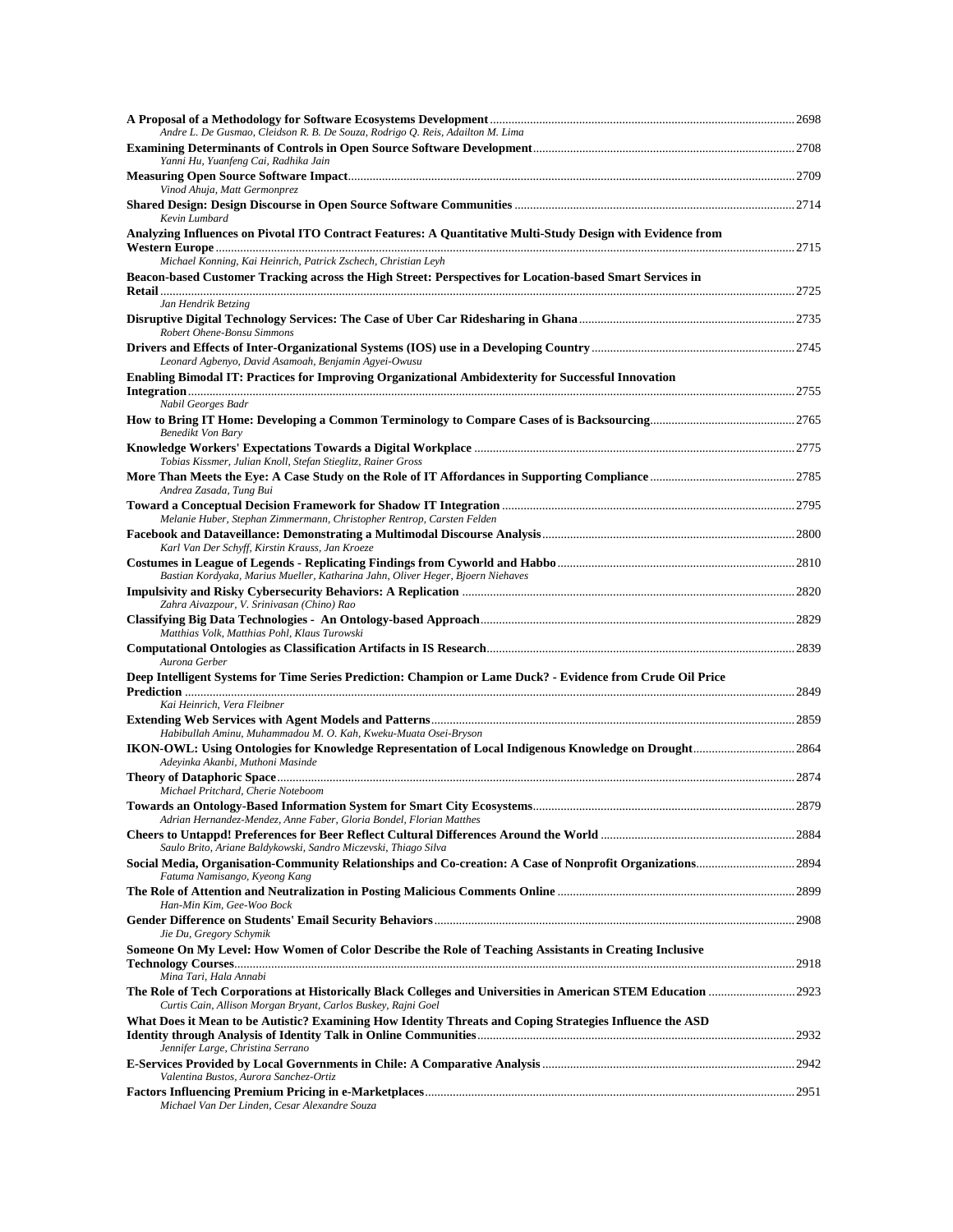| Andre L. De Gusmao, Cleidson R. B. De Souza, Rodrigo Q. Reis, Adailton M. Lima                                                   |       |
|----------------------------------------------------------------------------------------------------------------------------------|-------|
| Yanni Hu, Yuanfeng Cai, Radhika Jain                                                                                             |       |
| Vinod Ahuja, Matt Germonprez                                                                                                     |       |
| Kevin Lumbard                                                                                                                    |       |
| Analyzing Influences on Pivotal ITO Contract Features: A Quantitative Multi-Study Design with Evidence from                      |       |
| Michael Konning, Kai Heinrich, Patrick Zschech, Christian Leyh                                                                   |       |
| Beacon-based Customer Tracking across the High Street: Perspectives for Location-based Smart Services in<br>Jan Hendrik Betzing  |       |
| Robert Ohene-Bonsu Simmons                                                                                                       |       |
| Leonard Agbenyo, David Asamoah, Benjamin Agyei-Owusu                                                                             |       |
| Enabling Bimodal IT: Practices for Improving Organizational Ambidexterity for Successful Innovation                              |       |
| Nabil Georges Badr                                                                                                               |       |
| Benedikt Von Bary                                                                                                                |       |
| Tobias Kissmer, Julian Knoll, Stefan Stieglitz, Rainer Gross                                                                     |       |
| Andrea Zasada, Tung Bui                                                                                                          |       |
|                                                                                                                                  |       |
| Melanie Huber, Stephan Zimmermann, Christopher Rentrop, Carsten Felden                                                           |       |
| Karl Van Der Schyff, Kirstin Krauss, Jan Kroeze                                                                                  |       |
| Bastian Kordyaka, Marius Mueller, Katharina Jahn, Oliver Heger, Bjoern Niehaves                                                  |       |
| Zahra Aivazpour, V. Srinivasan (Chino) Rao                                                                                       |       |
| Matthias Volk, Matthias Pohl, Klaus Turowski                                                                                     |       |
| Aurona Gerber                                                                                                                    |       |
| Deep Intelligent Systems for Time Series Prediction: Champion or Lame Duck? - Evidence from Crude Oil Price                      |       |
| Kai Heinrich, Vera Fleibner                                                                                                      |       |
| Habibullah Aminu, Muhammadou M. O. Kah, Kweku-Muata Osei-Bryson                                                                  |       |
| Adeyinka Akanbi, Muthoni Masinde                                                                                                 |       |
| <b>Theory of Dataphoric Space</b>                                                                                                |       |
| Michael Pritchard, Cherie Noteboom                                                                                               | .2879 |
| Adrian Hernandez-Mendez, Anne Faber, Gloria Bondel, Florian Matthes                                                              |       |
| Saulo Brito, Ariane Baldykowski, Sandro Miczevski, Thiago Silva<br>Fatuma Namisango, Kyeong Kang                                 |       |
| Han-Min Kim, Gee-Woo Bock                                                                                                        |       |
| Jie Du, Gregory Schymik                                                                                                          |       |
| Someone On My Level: How Women of Color Describe the Role of Teaching Assistants in Creating Inclusive<br>Mina Tari, Hala Annabi |       |
| Curtis Cain, Allison Morgan Bryant, Carlos Buskey, Rajni Goel                                                                    |       |
| What Does it Mean to be Autistic? Examining How Identity Threats and Coping Strategies Influence the ASD                         |       |
| Jennifer Large, Christina Serrano                                                                                                |       |
| Valentina Bustos, Aurora Sanchez-Ortiz                                                                                           |       |
| Michael Van Der Linden, Cesar Alexandre Souza                                                                                    |       |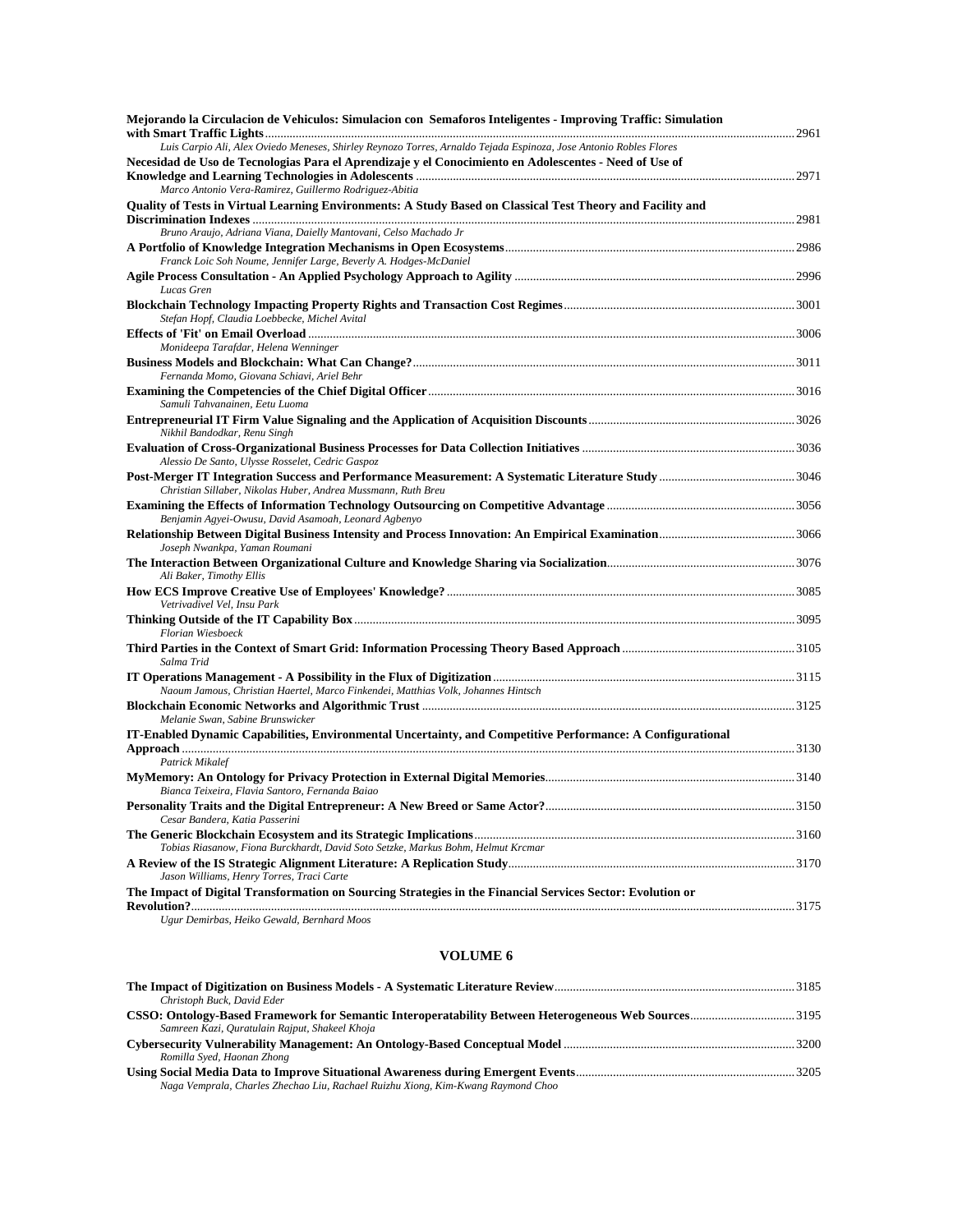| Mejorando la Circulacion de Vehiculos: Simulacion con Semaforos Inteligentes - Improving Traffic: Simulation      |  |
|-------------------------------------------------------------------------------------------------------------------|--|
| Luis Carpio Ali, Alex Oviedo Meneses, Shirley Reynozo Torres, Arnaldo Tejada Espinoza, Jose Antonio Robles Flores |  |
| Necesidad de Uso de Tecnologias Para el Aprendizaje y el Conocimiento en Adolescentes - Need of Use of            |  |
|                                                                                                                   |  |
| Marco Antonio Vera-Ramirez, Guillermo Rodriguez-Abitia                                                            |  |
| Quality of Tests in Virtual Learning Environments: A Study Based on Classical Test Theory and Facility and        |  |
|                                                                                                                   |  |
| Bruno Araujo, Adriana Viana, Daielly Mantovani, Celso Machado Jr                                                  |  |
|                                                                                                                   |  |
| Franck Loic Soh Noume, Jennifer Large, Beverly A. Hodges-McDaniel                                                 |  |
| Lucas Gren                                                                                                        |  |
| Stefan Hopf, Claudia Loebbecke, Michel Avital                                                                     |  |
|                                                                                                                   |  |
| Monideepa Tarafdar, Helena Wenninger                                                                              |  |
|                                                                                                                   |  |
| Fernanda Momo, Giovana Schiavi, Ariel Behr                                                                        |  |
|                                                                                                                   |  |
| Samuli Tahvanainen, Eetu Luoma                                                                                    |  |
| Nikhil Bandodkar, Renu Singh                                                                                      |  |
| Alessio De Santo, Ulysse Rosselet, Cedric Gaspoz                                                                  |  |
| Christian Sillaber, Nikolas Huber, Andrea Mussmann, Ruth Breu                                                     |  |
|                                                                                                                   |  |
| Benjamin Agyei-Owusu, David Asamoah, Leonard Agbenyo                                                              |  |
| Joseph Nwankpa, Yaman Roumani                                                                                     |  |
| Ali Baker, Timothy Ellis                                                                                          |  |
| Vetrivadivel Vel, Insu Park                                                                                       |  |
| Florian Wiesboeck                                                                                                 |  |
|                                                                                                                   |  |
| Salma Trid                                                                                                        |  |
|                                                                                                                   |  |
| Naoum Jamous, Christian Haertel, Marco Finkendei, Matthias Volk, Johannes Hintsch                                 |  |
| Melanie Swan, Sabine Brunswicker                                                                                  |  |
| IT-Enabled Dynamic Capabilities, Environmental Uncertainty, and Competitive Performance: A Configurational        |  |
| Patrick Mikalef                                                                                                   |  |
|                                                                                                                   |  |
| Bianca Teixeira, Flavia Santoro, Fernanda Baiao                                                                   |  |
| Cesar Bandera, Katia Passerini                                                                                    |  |
|                                                                                                                   |  |
| Tobias Riasanow, Fiona Burckhardt, David Soto Setzke, Markus Bohm, Helmut Krcmar                                  |  |
|                                                                                                                   |  |
| Jason Williams, Henry Torres, Traci Carte                                                                         |  |
| The Impact of Digital Transformation on Sourcing Strategies in the Financial Services Sector: Evolution or        |  |
| Ugur Demirbas, Heiko Gewald, Bernhard Moos                                                                        |  |

| Christoph Buck, David Eder                                                                           |  |
|------------------------------------------------------------------------------------------------------|--|
| CSSO: Ontology-Based Framework for Semantic Interoperatability Between Heterogeneous Web Sources3195 |  |
| Samreen Kazi, Quratulain Rajput, Shakeel Khoja                                                       |  |
|                                                                                                      |  |
| Romilla Syed, Haonan Zhong                                                                           |  |
|                                                                                                      |  |
| Naga Vemprala, Charles Zhechao Liu, Rachael Ruizhu Xiong, Kim-Kwang Raymond Choo                     |  |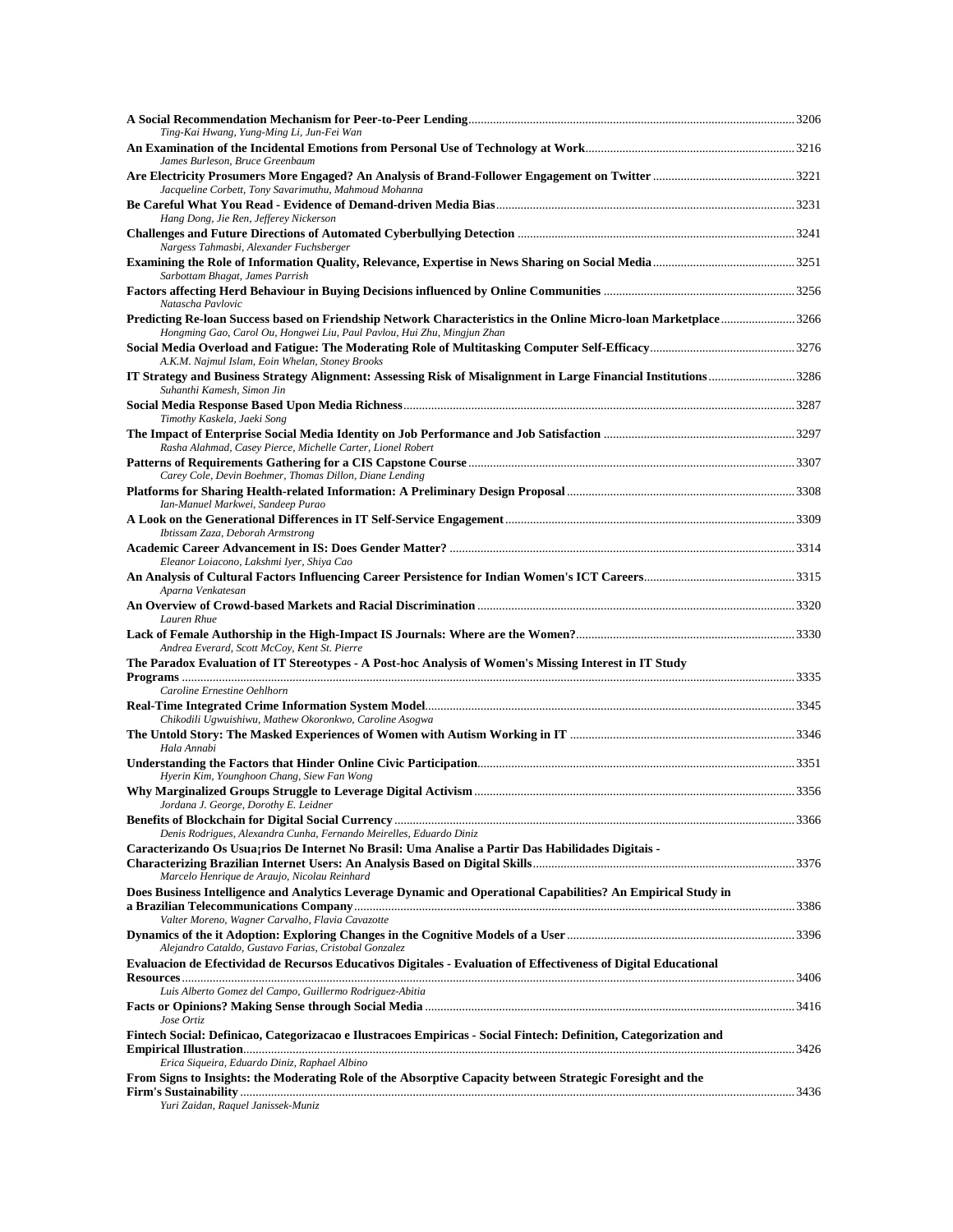| Ting-Kai Hwang, Yung-Ming Li, Jun-Fei Wan                                                                                                                                                                                  |  |
|----------------------------------------------------------------------------------------------------------------------------------------------------------------------------------------------------------------------------|--|
| James Burleson, Bruce Greenbaum<br>Jacqueline Corbett, Tony Savarimuthu, Mahmoud Mohanna                                                                                                                                   |  |
|                                                                                                                                                                                                                            |  |
| Hang Dong, Jie Ren, Jefferey Nickerson                                                                                                                                                                                     |  |
| Nargess Tahmasbi, Alexander Fuchsberger                                                                                                                                                                                    |  |
| Sarbottam Bhagat, James Parrish<br>Natascha Pavlovic                                                                                                                                                                       |  |
| Predicting Re-Ioan Success based on Friendship Network Characteristics in the Online Micro-Ioan Marketplace3266<br>Hongming Gao, Carol Ou, Hongwei Liu, Paul Pavlou, Hui Zhu, Mingjun Zhan                                 |  |
| A.K.M. Najmul Islam, Eoin Whelan, Stoney Brooks                                                                                                                                                                            |  |
| IT Strategy and Business Strategy Alignment: Assessing Risk of Misalignment in Large Financial Institutions3286<br>Suhanthi Kamesh, Simon Jin                                                                              |  |
| Timothy Kaskela, Jaeki Song                                                                                                                                                                                                |  |
| Rasha Alahmad, Casey Pierce, Michelle Carter, Lionel Robert                                                                                                                                                                |  |
| Carey Cole, Devin Boehmer, Thomas Dillon, Diane Lending                                                                                                                                                                    |  |
| Ian-Manuel Markwei, Sandeep Purao                                                                                                                                                                                          |  |
| Ibtissam Zaza, Deborah Armstrong                                                                                                                                                                                           |  |
| Eleanor Loiacono, Lakshmi Iyer, Shiya Cao                                                                                                                                                                                  |  |
| Aparna Venkatesan                                                                                                                                                                                                          |  |
| Lauren Rhue                                                                                                                                                                                                                |  |
| Andrea Everard, Scott McCoy, Kent St. Pierre                                                                                                                                                                               |  |
| The Paradox Evaluation of IT Stereotypes - A Post-hoc Analysis of Women's Missing Interest in IT Study                                                                                                                     |  |
| Caroline Ernestine Oehlhorn                                                                                                                                                                                                |  |
| Chikodili Ugwuishiwu, Mathew Okoronkwo, Caroline Asogwa                                                                                                                                                                    |  |
| Hala Annabi                                                                                                                                                                                                                |  |
| Hyerin Kim, Younghoon Chang, Siew Fan Wong                                                                                                                                                                                 |  |
| Jordana J. George, Dorothy E. Leidner                                                                                                                                                                                      |  |
|                                                                                                                                                                                                                            |  |
| Denis Rodrigues, Alexandra Cunha, Fernando Meirelles, Eduardo Diniz<br>Caracterizando Os Usua; rios De Internet No Brasil: Uma Analise a Partir Das Habilidades Digitais -<br>Marcelo Henrique de Araujo, Nicolau Reinhard |  |
| Does Business Intelligence and Analytics Leverage Dynamic and Operational Capabilities? An Empirical Study in                                                                                                              |  |
| Valter Moreno, Wagner Carvalho, Flavia Cavazotte                                                                                                                                                                           |  |
| Alejandro Cataldo, Gustavo Farias, Cristobal Gonzalez<br>Evaluacion de Efectividad de Recursos Educativos Digitales - Evaluation of Effectiveness of Digital Educational                                                   |  |
| Luis Alberto Gomez del Campo, Guillermo Rodriguez-Abitia                                                                                                                                                                   |  |
| Jose Ortiz                                                                                                                                                                                                                 |  |
| Fintech Social: Definicao, Categorizacao e Ilustracoes Empiricas - Social Fintech: Definition, Categorization and                                                                                                          |  |
| Erica Siqueira, Eduardo Diniz, Raphael Albino<br>From Signs to Insights: the Moderating Role of the Absorptive Capacity between Strategic Foresight and the                                                                |  |
| Yuri Zaidan, Raquel Janissek-Muniz                                                                                                                                                                                         |  |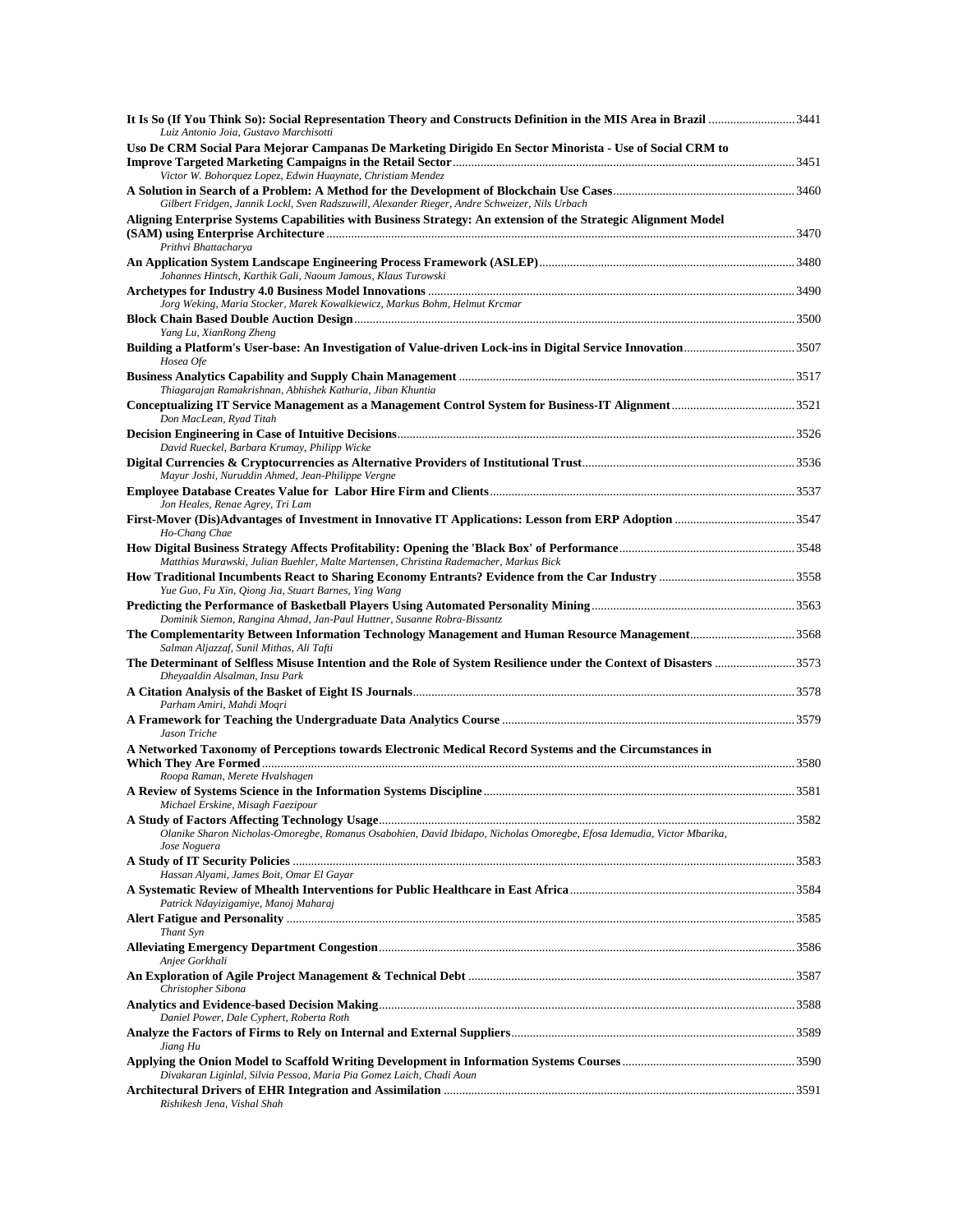| 1441 It Is So (If You Think So): Social Representation Theory and Constructs Definition in the MIS Area in Brazil 3441<br>Luiz Antonio Joia, Gustavo Marchisotti |  |
|------------------------------------------------------------------------------------------------------------------------------------------------------------------|--|
| Uso De CRM Social Para Mejorar Campanas De Marketing Dirigido En Sector Minorista - Use of Social CRM to                                                         |  |
|                                                                                                                                                                  |  |
| Victor W. Bohorquez Lopez, Edwin Huaynate, Christiam Mendez                                                                                                      |  |
| Gilbert Fridgen, Jannik Lockl, Sven Radszuwill, Alexander Rieger, Andre Schweizer, Nils Urbach                                                                   |  |
| Aligning Enterprise Systems Capabilities with Business Strategy: An extension of the Strategic Alignment Model<br>Prithvi Bhattacharya                           |  |
|                                                                                                                                                                  |  |
| Johannes Hintsch, Karthik Gali, Naoum Jamous, Klaus Turowski                                                                                                     |  |
| Jorg Weking, Maria Stocker, Marek Kowalkiewicz, Markus Bohm, Helmut Krcmar                                                                                       |  |
|                                                                                                                                                                  |  |
| Yang Lu, XianRong Zheng                                                                                                                                          |  |
| Hosea Ofe                                                                                                                                                        |  |
| Thiagarajan Ramakrishnan, Abhishek Kathuria, Jiban Khuntia                                                                                                       |  |
|                                                                                                                                                                  |  |
| Don MacLean, Ryad Titah                                                                                                                                          |  |
| David Rueckel, Barbara Krumay, Philipp Wicke                                                                                                                     |  |
|                                                                                                                                                                  |  |
| Mayur Joshi, Nuruddin Ahmed, Jean-Philippe Vergne                                                                                                                |  |
| Jon Heales, Renae Agrey, Tri Lam                                                                                                                                 |  |
|                                                                                                                                                                  |  |
| Ho-Chang Chae<br>Matthias Murawski, Julian Buehler, Malte Martensen, Christina Rademacher, Markus Bick                                                           |  |
|                                                                                                                                                                  |  |
| Yue Guo, Fu Xin, Qiong Jia, Stuart Barnes, Ying Wang                                                                                                             |  |
| Dominik Siemon, Rangina Ahmad, Jan-Paul Huttner, Susanne Robra-Bissantz                                                                                          |  |
| The Complementarity Between Information Technology Management and Human Resource Management3568<br>Salman Aljazzaf, Sunil Mithas, Ali Tafti                      |  |
| Dheyaaldin Alsalman, Insu Park                                                                                                                                   |  |
|                                                                                                                                                                  |  |
| Parham Amiri, Mahdi Moqri                                                                                                                                        |  |
| Jason Triche                                                                                                                                                     |  |
| A Networked Taxonomy of Perceptions towards Electronic Medical Record Systems and the Circumstances in                                                           |  |
| Roopa Raman, Merete Hvalshagen                                                                                                                                   |  |
|                                                                                                                                                                  |  |
| Michael Erskine, Misagh Faezipour                                                                                                                                |  |
| Olanike Sharon Nicholas-Omoregbe, Romanus Osabohien, David Ibidapo, Nicholas Omoregbe, Efosa Idemudia, Victor Mbarika,                                           |  |
| Jose Noguera                                                                                                                                                     |  |
| Hassan Alyami, James Boit, Omar El Gayar                                                                                                                         |  |
| Patrick Ndayizigamiye, Manoj Maharaj                                                                                                                             |  |
|                                                                                                                                                                  |  |
| Thant Syn                                                                                                                                                        |  |
| Anjee Gorkhali                                                                                                                                                   |  |
| Christopher Sibona                                                                                                                                               |  |
| Daniel Power, Dale Cyphert, Roberta Roth                                                                                                                         |  |
| Jiang Hu                                                                                                                                                         |  |
| Divakaran Liginlal, Silvia Pessoa, Maria Pia Gomez Laich, Chadi Aoun                                                                                             |  |
| Rishikesh Jena, Vishal Shah                                                                                                                                      |  |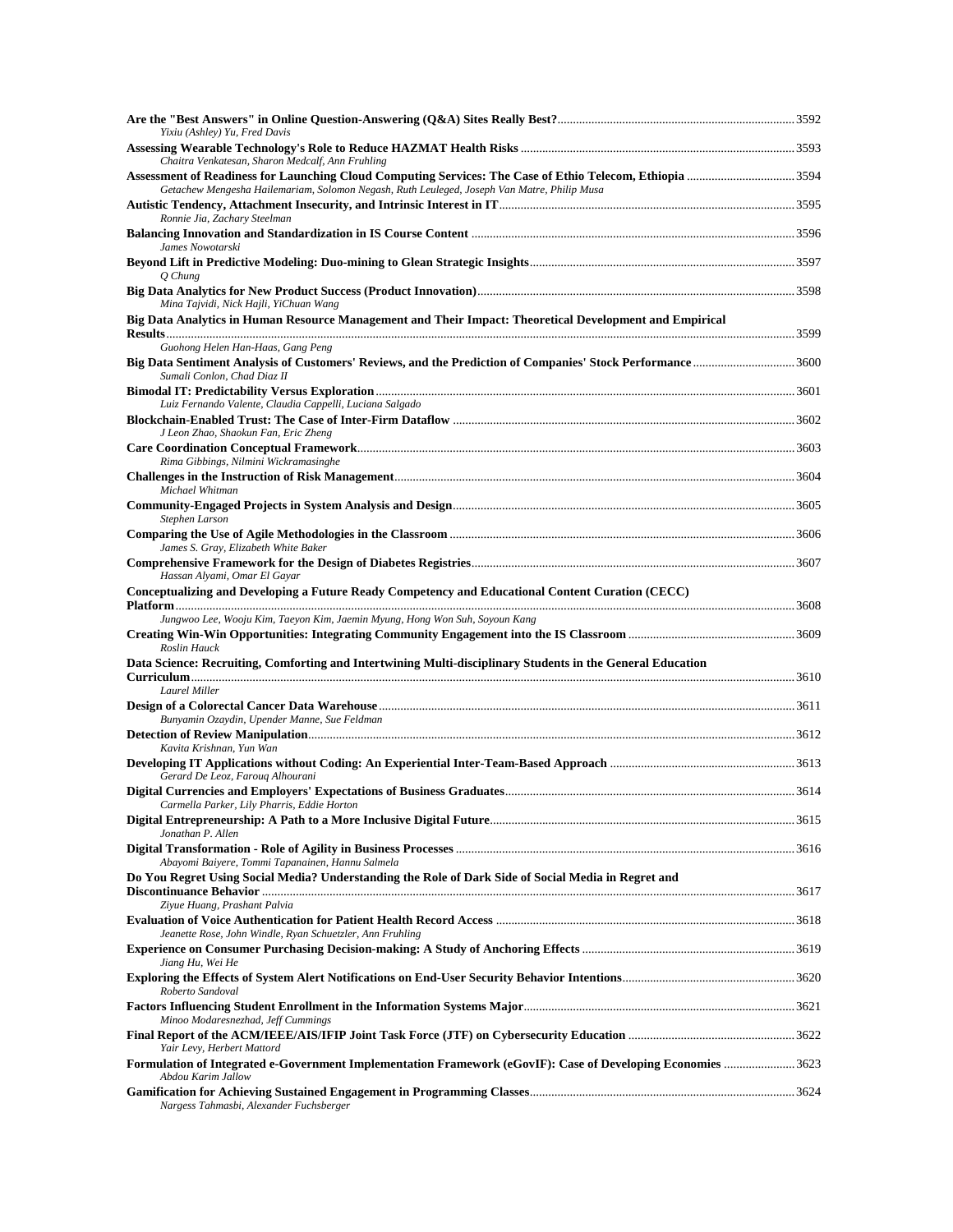| Yixiu (Ashley) Yu, Fred Davis                                                                                                                                |  |
|--------------------------------------------------------------------------------------------------------------------------------------------------------------|--|
| Chaitra Venkatesan, Sharon Medcalf, Ann Fruhling<br>Assessment of Readiness for Launching Cloud Computing Services: The Case of Ethio Telecom, Ethiopia 3594 |  |
| Getachew Mengesha Hailemariam, Solomon Negash, Ruth Leuleged, Joseph Van Matre, Philip Musa                                                                  |  |
| Ronnie Jia, Zachary Steelman                                                                                                                                 |  |
| James Nowotarski                                                                                                                                             |  |
| Q Chung                                                                                                                                                      |  |
| Mina Tajvidi, Nick Hajli, YiChuan Wang<br>Big Data Analytics in Human Resource Management and Their Impact: Theoretical Development and Empirical            |  |
| Guohong Helen Han-Haas, Gang Peng                                                                                                                            |  |
| Big Data Sentiment Analysis of Customers' Reviews, and the Prediction of Companies' Stock Performance3600<br>Sumali Conlon, Chad Diaz II                     |  |
| Luiz Fernando Valente, Claudia Cappelli, Luciana Salgado                                                                                                     |  |
| J Leon Zhao, Shaokun Fan, Eric Zheng                                                                                                                         |  |
|                                                                                                                                                              |  |
| Rima Gibbings, Nilmini Wickramasinghe                                                                                                                        |  |
| Michael Whitman                                                                                                                                              |  |
| Stephen Larson                                                                                                                                               |  |
| James S. Gray, Elizabeth White Baker                                                                                                                         |  |
| Hassan Alyami, Omar El Gayar                                                                                                                                 |  |
| Conceptualizing and Developing a Future Ready Competency and Educational Content Curation (CECC)                                                             |  |
| Jungwoo Lee, Wooju Kim, Taeyon Kim, Jaemin Myung, Hong Won Suh, Soyoun Kang<br>Roslin Hauck                                                                  |  |
| Data Science: Recruiting, Comforting and Intertwining Multi-disciplinary Students in the General Education                                                   |  |
| Laurel Miller                                                                                                                                                |  |
| Bunyamin Ozaydin, Upender Manne, Sue Feldman                                                                                                                 |  |
| Kavita Krishnan, Yun Wan                                                                                                                                     |  |
| Gerard De Leoz, Farouq Alhourani                                                                                                                             |  |
|                                                                                                                                                              |  |
| Carmella Parker, Lily Pharris, Eddie Horton                                                                                                                  |  |
| Jonathan P. Allen                                                                                                                                            |  |
| Abayomi Baiyere, Tommi Tapanainen, Hannu Salmela<br>Do You Regret Using Social Media? Understanding the Role of Dark Side of Social Media in Regret and      |  |
| Ziyue Huang, Prashant Palvia                                                                                                                                 |  |
|                                                                                                                                                              |  |
| Jeanette Rose, John Windle, Ryan Schuetzler, Ann Fruhling                                                                                                    |  |
| Jiang Hu, Wei He                                                                                                                                             |  |
| Roberto Sandoval                                                                                                                                             |  |
| Minoo Modaresnezhad, Jeff Cummings                                                                                                                           |  |
| Yair Levy, Herbert Mattord                                                                                                                                   |  |
| Formulation of Integrated e-Government Implementation Framework (eGovIF): Case of Developing Economies 3623<br>Abdou Karim Jallow                            |  |
| Nargess Tahmasbi, Alexander Fuchsberger                                                                                                                      |  |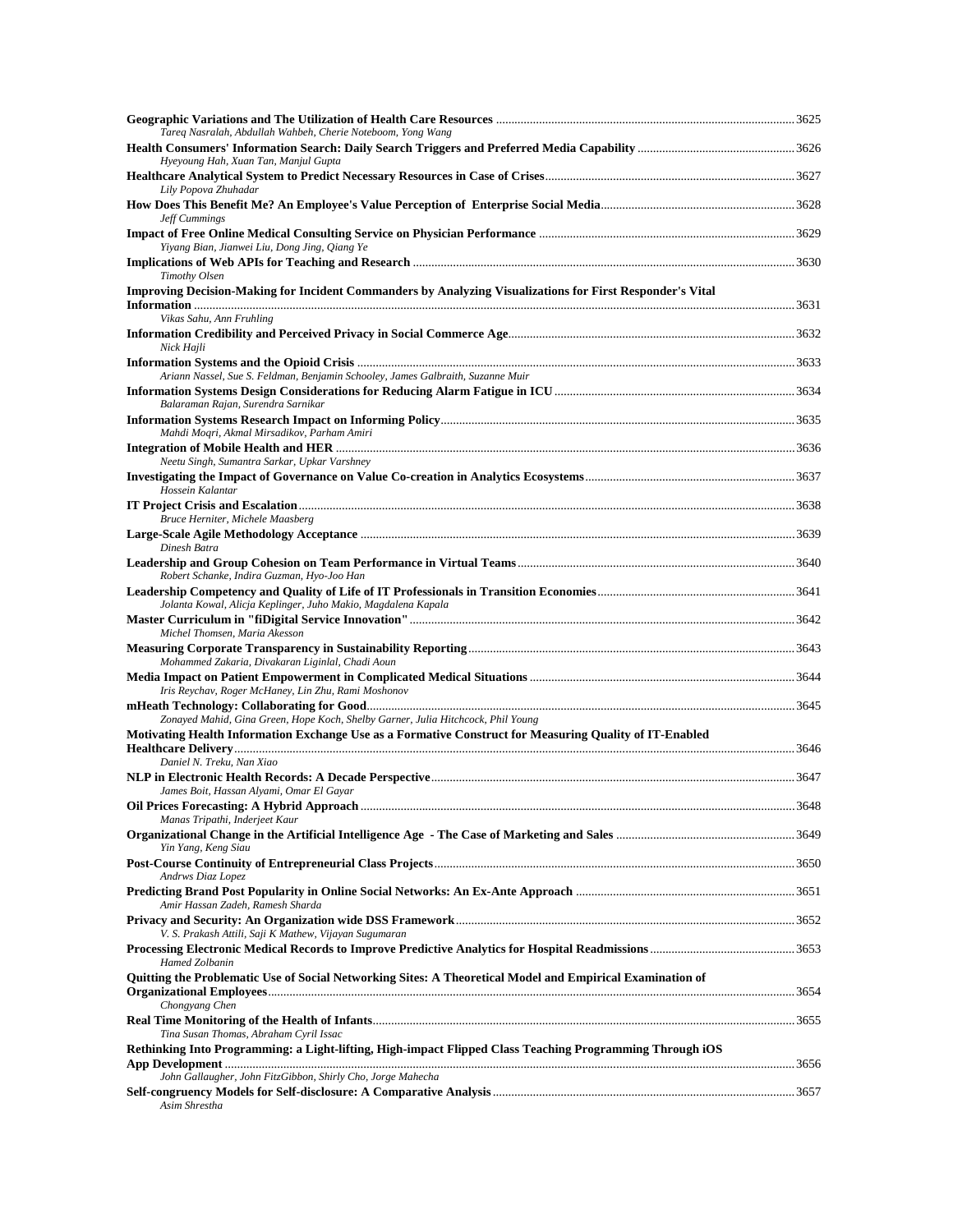| Tareg Nasralah, Abdullah Wahbeh, Cherie Noteboom, Yong Wang                                               |      |
|-----------------------------------------------------------------------------------------------------------|------|
| Hyeyoung Hah, Xuan Tan, Manjul Gupta                                                                      |      |
| Lily Popova Zhuhadar                                                                                      |      |
| Jeff Cummings                                                                                             |      |
| Yiyang Bian, Jianwei Liu, Dong Jing, Qiang Ye                                                             |      |
| Timothy Olsen                                                                                             |      |
| Improving Decision-Making for Incident Commanders by Analyzing Visualizations for First Responder's Vital |      |
| Vikas Sahu, Ann Fruhling                                                                                  |      |
| Nick Hajli                                                                                                |      |
| Ariann Nassel, Sue S. Feldman, Benjamin Schooley, James Galbraith, Suzanne Muir                           |      |
| Balaraman Rajan, Surendra Sarnikar                                                                        |      |
| Mahdi Moqri, Akmal Mirsadikov, Parham Amiri                                                               |      |
|                                                                                                           |      |
| Neetu Singh, Sumantra Sarkar, Upkar Varshney<br>Hossein Kalantar                                          |      |
|                                                                                                           |      |
| Bruce Herniter, Michele Maasberg                                                                          |      |
| Dinesh Batra                                                                                              |      |
| Robert Schanke, Indira Guzman, Hyo-Joo Han                                                                |      |
| Jolanta Kowal, Alicja Keplinger, Juho Makio, Magdalena Kapala                                             |      |
| Michel Thomsen, Maria Akesson<br>Mohammed Zakaria, Divakaran Liginlal, Chadi Aoun                         |      |
| Iris Reychav, Roger McHaney, Lin Zhu, Rami Moshonov                                                       |      |
| Zonayed Mahid, Gina Green, Hope Koch, Shelby Garner, Julia Hitchcock, Phil Young                          |      |
| Motivating Health Information Exchange Use as a Formative Construct for Measuring Quality of IT-Enabled   |      |
| Daniel N. Treku, Nan Xiao                                                                                 |      |
|                                                                                                           |      |
| James Boit, Hassan Alyami, Omar El Gayar                                                                  | 3648 |
| Manas Tripathi, Inderjeet Kaur                                                                            |      |
| Yin Yang, Keng Siau                                                                                       |      |
| Andrws Diaz Lopez                                                                                         |      |
| Amir Hassan Zadeh, Ramesh Sharda                                                                          |      |
| V. S. Prakash Attili, Saji K Mathew, Vijayan Sugumaran                                                    |      |
| <b>Hamed Zolbanin</b>                                                                                     |      |
| Quitting the Problematic Use of Social Networking Sites: A Theoretical Model and Empirical Examination of |      |
| Chongyang Chen                                                                                            |      |
| Tina Susan Thomas, Abraham Cyril Issac                                                                    |      |
| Rethinking Into Programming: a Light-lifting, High-impact Flipped Class Teaching Programming Through iOS  |      |
| John Gallaugher, John FitzGibbon, Shirly Cho, Jorge Mahecha                                               |      |
| Asim Shrestha                                                                                             |      |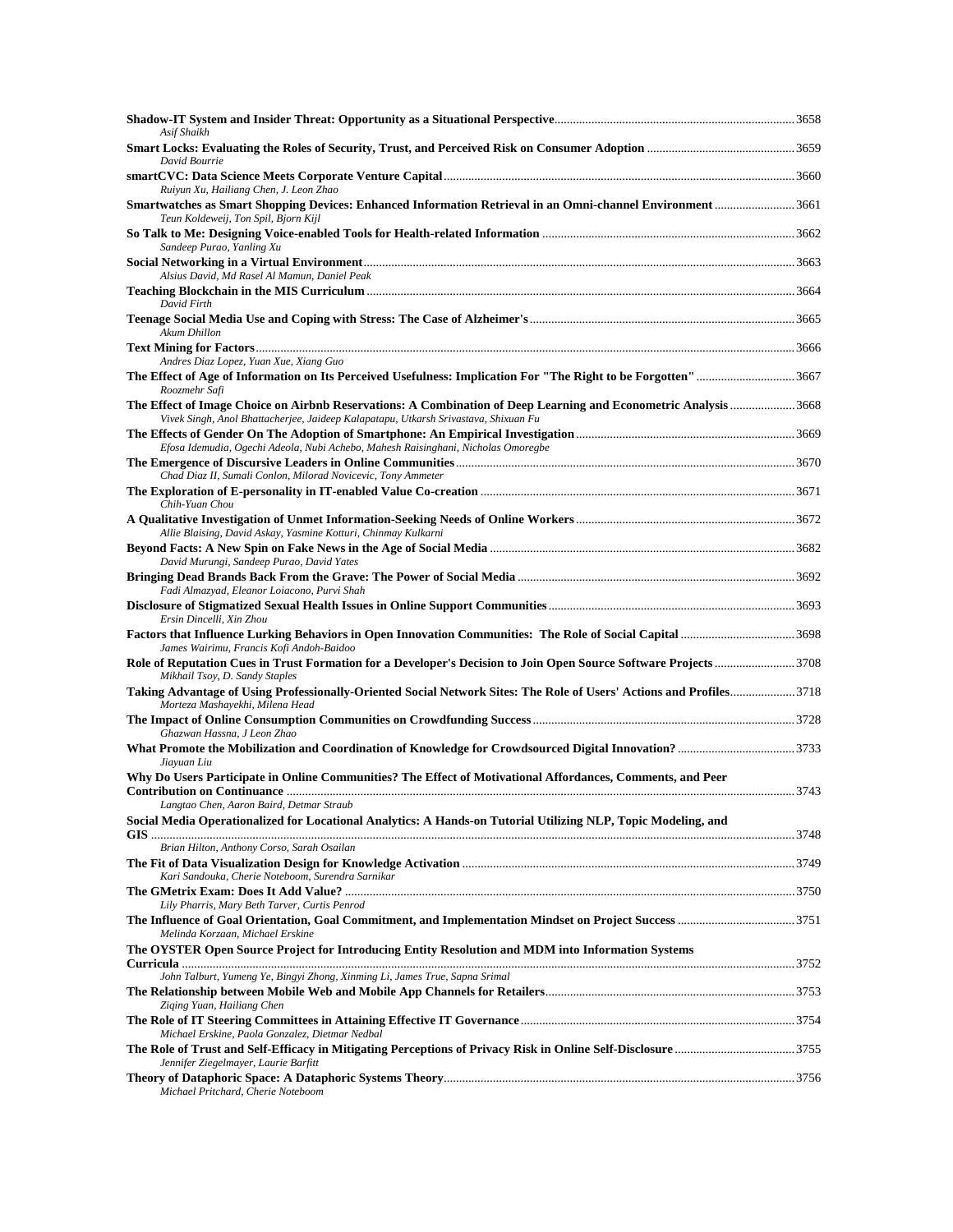| Asif Shaikh                                                                                                                                                                                            |  |
|--------------------------------------------------------------------------------------------------------------------------------------------------------------------------------------------------------|--|
| David Bourrie                                                                                                                                                                                          |  |
|                                                                                                                                                                                                        |  |
| Ruiyun Xu, Hailiang Chen, J. Leon Zhao<br>Smartwatches as Smart Shopping Devices: Enhanced Information Retrieval in an Omni-channel Environment 3661                                                   |  |
| Teun Koldeweij, Ton Spil, Bjorn Kijl                                                                                                                                                                   |  |
| Sandeep Purao, Yanling Xu                                                                                                                                                                              |  |
| Alsius David, Md Rasel Al Mamun, Daniel Peak                                                                                                                                                           |  |
| David Firth                                                                                                                                                                                            |  |
| Akum Dhillon                                                                                                                                                                                           |  |
| Andres Diaz Lopez, Yuan Xue, Xiang Guo                                                                                                                                                                 |  |
| The Effect of Age of Information on Its Perceived Usefulness: Implication For "The Right to be Forgotten"3667<br>Roozmehr Safi                                                                         |  |
| The Effect of Image Choice on Airbnb Reservations: A Combination of Deep Learning and Econometric Analysis 3668<br>Vivek Singh, Anol Bhattacherjee, Jaideep Kalapatapu, Utkarsh Srivastava, Shixuan Fu |  |
|                                                                                                                                                                                                        |  |
| Efosa Idemudia, Ogechi Adeola, Nubi Achebo, Mahesh Raisinghani, Nicholas Omoregbe                                                                                                                      |  |
| Chad Diaz II, Sumali Conlon, Milorad Novicevic, Tony Ammeter                                                                                                                                           |  |
| Chih-Yuan Chou                                                                                                                                                                                         |  |
| Allie Blaising, David Askay, Yasmine Kotturi, Chinmay Kulkarni                                                                                                                                         |  |
| David Murungi, Sandeep Purao, David Yates                                                                                                                                                              |  |
| Fadi Almazyad, Eleanor Loiacono, Purvi Shah                                                                                                                                                            |  |
|                                                                                                                                                                                                        |  |
| Ersin Dincelli, Xin Zhou<br>Factors that Influence Lurking Behaviors in Open Innovation Communities: The Role of Social Capital 3698                                                                   |  |
| James Wairimu, Francis Kofi Andoh-Baidoo                                                                                                                                                               |  |
| Role of Reputation Cues in Trust Formation for a Developer's Decision to Join Open Source Software Projects3708<br>Mikhail Tsoy, D. Sandy Staples                                                      |  |
| Taking Advantage of Using Professionally-Oriented Social Network Sites: The Role of Users' Actions and Profiles3718<br>Morteza Mashayekhi, Milena Head                                                 |  |
| Ghazwan Hassna, J Leon Zhao                                                                                                                                                                            |  |
| Jiayuan Liu                                                                                                                                                                                            |  |
| Why Do Users Participate in Online Communities? The Effect of Motivational Affordances, Comments, and Peer                                                                                             |  |
| Langtao Chen, Aaron Baird, Detmar Straub                                                                                                                                                               |  |
| Social Media Operationalized for Locational Analytics: A Hands-on Tutorial Utilizing NLP, Topic Modeling, and                                                                                          |  |
| Brian Hilton, Anthony Corso, Sarah Osailan                                                                                                                                                             |  |
| Kari Sandouka, Cherie Noteboom, Surendra Sarnikar                                                                                                                                                      |  |
| Lily Pharris, Mary Beth Tarver, Curtis Penrod                                                                                                                                                          |  |
| Melinda Korzaan, Michael Erskine                                                                                                                                                                       |  |
| The OYSTER Open Source Project for Introducing Entity Resolution and MDM into Information Systems                                                                                                      |  |
| John Talburt, Yumeng Ye, Bingyi Zhong, Xinming Li, James True, Sapna Srimal                                                                                                                            |  |
| Ziging Yuan, Hailiang Chen                                                                                                                                                                             |  |
| Michael Erskine, Paola Gonzalez, Dietmar Nedbal                                                                                                                                                        |  |
| Jennifer Ziegelmayer, Laurie Barfitt                                                                                                                                                                   |  |
| Michael Pritchard, Cherie Noteboom                                                                                                                                                                     |  |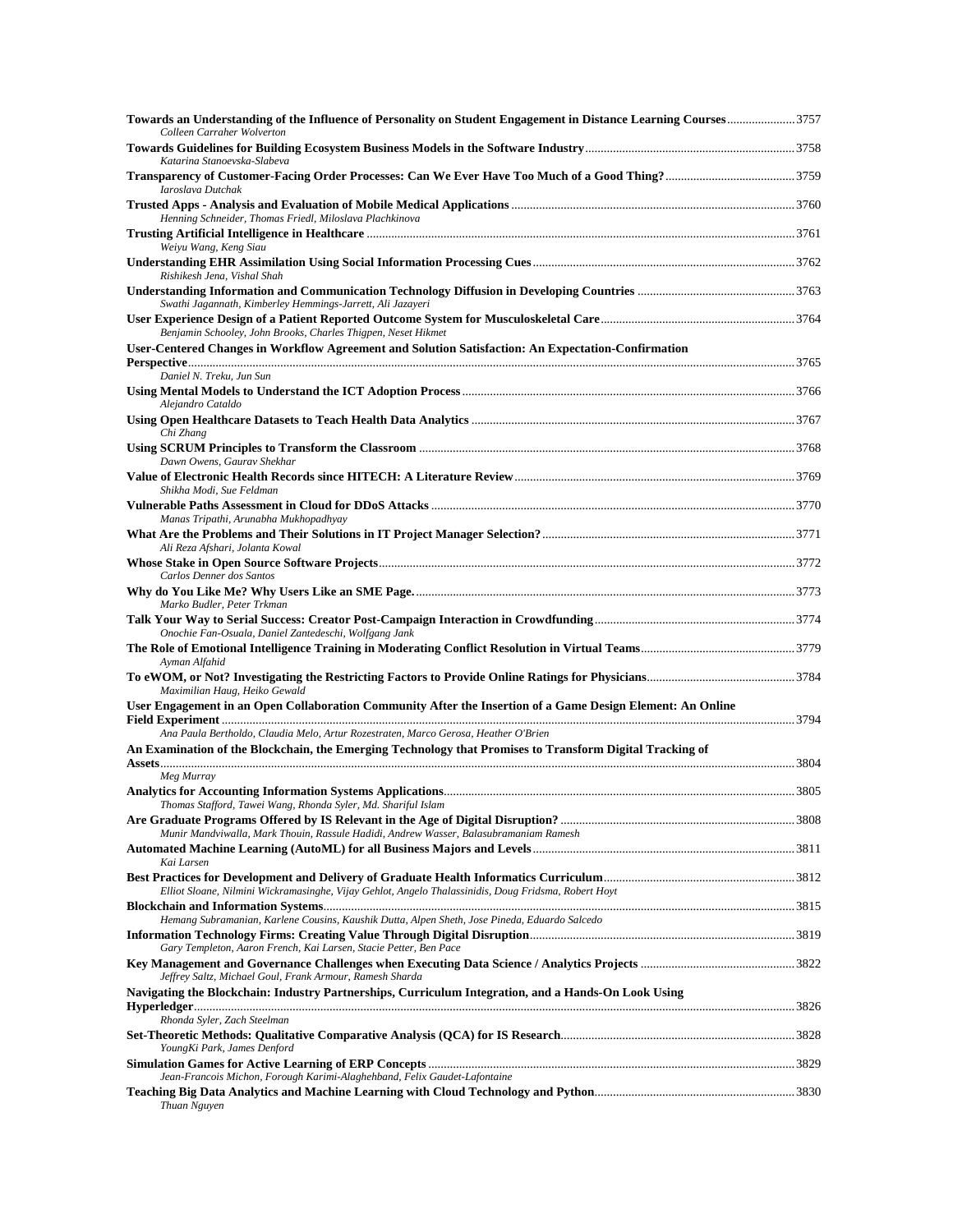| Towards an Understanding of the Influence of Personality on Student Engagement in Distance Learning Courses3757<br>Colleen Carraher Wolverton |  |
|-----------------------------------------------------------------------------------------------------------------------------------------------|--|
| Katarina Stanoevska-Slabeva                                                                                                                   |  |
| Iaroslava Dutchak                                                                                                                             |  |
| Henning Schneider, Thomas Friedl, Miloslava Plachkinova                                                                                       |  |
| Weiyu Wang, Keng Siau                                                                                                                         |  |
| Rishikesh Jena, Vishal Shah                                                                                                                   |  |
| Swathi Jagannath, Kimberley Hemmings-Jarrett, Ali Jazayeri                                                                                    |  |
| Benjamin Schooley, John Brooks, Charles Thigpen, Neset Hikmet                                                                                 |  |
| User-Centered Changes in Workflow Agreement and Solution Satisfaction: An Expectation-Confirmation                                            |  |
| Daniel N. Treku, Jun Sun                                                                                                                      |  |
| Alejandro Cataldo                                                                                                                             |  |
| Chi Zhang                                                                                                                                     |  |
| Dawn Owens, Gaurav Shekhar                                                                                                                    |  |
| Shikha Modi, Sue Feldman                                                                                                                      |  |
| Manas Tripathi, Arunabha Mukhopadhyay                                                                                                         |  |
| Ali Reza Afshari, Jolanta Kowal                                                                                                               |  |
| Carlos Denner dos Santos                                                                                                                      |  |
| Marko Budler, Peter Trkman                                                                                                                    |  |
| Onochie Fan-Osuala, Daniel Zantedeschi, Wolfgang Jank                                                                                         |  |
| Ayman Alfahid                                                                                                                                 |  |
| Maximilian Haug, Heiko Gewald                                                                                                                 |  |
| User Engagement in an Open Collaboration Community After the Insertion of a Game Design Element: An Online                                    |  |
| Ana Paula Bertholdo, Claudia Melo, Artur Rozestraten, Marco Gerosa, Heather O'Brien                                                           |  |
| An Examination of the Blockchain, the Emerging Technology that Promises to Transform Digital Tracking of                                      |  |
| Meg Murray                                                                                                                                    |  |
| Thomas Stafford, Tawei Wang, Rhonda Syler, Md. Shariful Islam                                                                                 |  |
| Munir Mandviwalla, Mark Thouin, Rassule Hadidi, Andrew Wasser, Balasubramaniam Ramesh                                                         |  |
| Kai Larsen                                                                                                                                    |  |
| Elliot Sloane, Nilmini Wickramasinghe, Vijay Gehlot, Angelo Thalassinidis, Doug Fridsma, Robert Hoyt                                          |  |
| Hemang Subramanian, Karlene Cousins, Kaushik Dutta, Alpen Sheth, Jose Pineda, Eduardo Salcedo                                                 |  |
| Gary Templeton, Aaron French, Kai Larsen, Stacie Petter, Ben Pace                                                                             |  |
| Jeffrey Saltz, Michael Goul, Frank Armour, Ramesh Sharda                                                                                      |  |
| Navigating the Blockchain: Industry Partnerships, Curriculum Integration, and a Hands-On Look Using                                           |  |
| Rhonda Syler, Zach Steelman                                                                                                                   |  |
| YoungKi Park, James Denford                                                                                                                   |  |
| Jean-Francois Michon, Forough Karimi-Alaghehband, Felix Gaudet-Lafontaine                                                                     |  |
| Thuan Nguyen                                                                                                                                  |  |